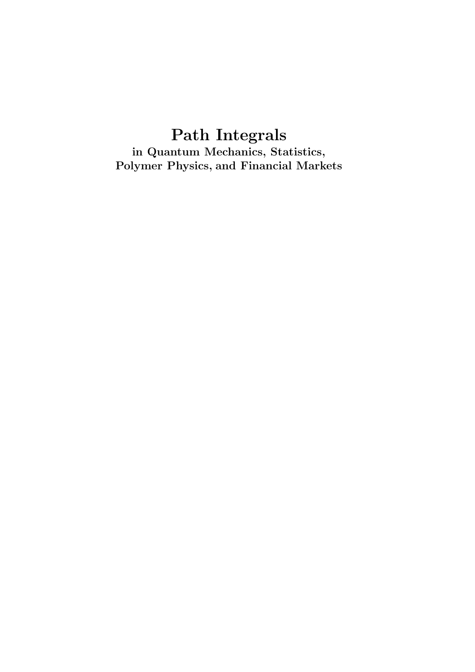# Path Integrals

in Quantum Mechanics, Statistics, Polymer Physics, and Financial Markets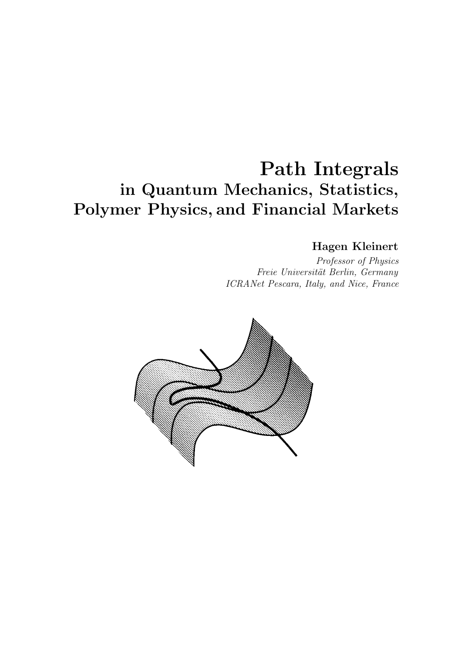# Path Integrals in Quantum Mechanics, Statistics, Polymer Physics, and Financial Markets

#### Hagen Kleinert

Professor of Physics Freie Universität Berlin, Germany ICRANet Pescara, Italy, and Nice, France

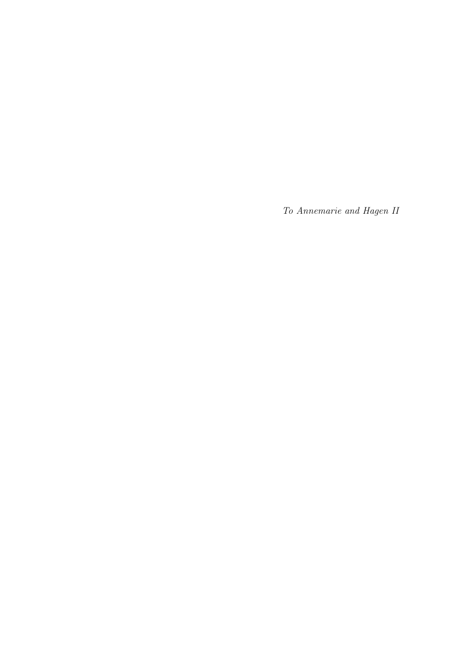To Annemarie and Hagen II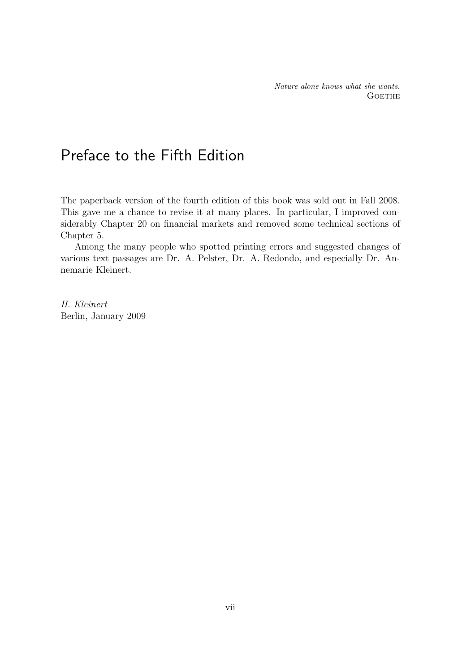Nature alone knows what she wants. **GOETHE** 

#### Preface to the Fifth Edition

The paperback version of the fourth edition of this book was sold out in Fall 2008. This gave me a chance to revise it at many places. In particular, I improved considerably Chapter 20 on financial markets and removed some technical sections of Chapter 5.

Among the many people who spotted printing errors and suggested changes of various text passages are Dr. A. Pelster, Dr. A. Redondo, and especially Dr. Annemarie Kleinert.

H. Kleinert Berlin, January 2009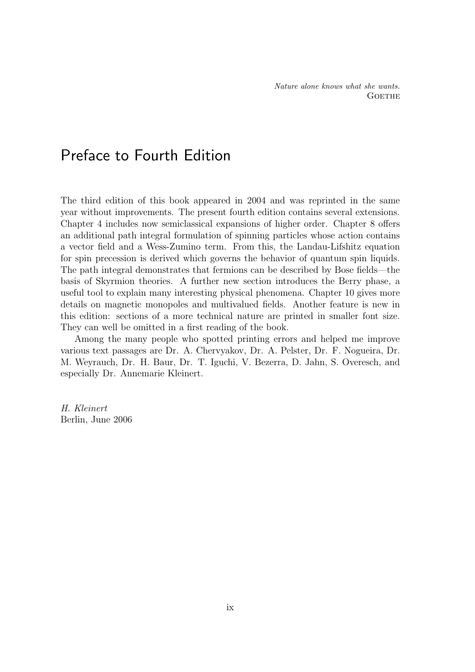Nature alone knows what she wants. **GOETHE** 

#### Preface to Fourth Edition

The third edition of this book appeared in 2004 and was reprinted in the same year without improvements. The present fourth edition contains several extensions. Chapter 4 includes now semiclassical expansions of higher order. Chapter 8 offers an additional path integral formulation of spinning particles whose action contains a vector field and a Wess-Zumino term. From this, the Landau-Lifshitz equation for spin precession is derived which governs the behavior of quantum spin liquids. The path integral demonstrates that fermions can be described by Bose fields—the basis of Skyrmion theories. A further new section introduces the Berry phase, a useful tool to explain many interesting physical phenomena. Chapter 10 gives more details on magnetic monopoles and multivalued fields. Another feature is new in this edition: sections of a more technical nature are printed in smaller font size. They can well be omitted in a first reading of the book.

Among the many people who spotted printing errors and helped me improve various text passages are Dr. A. Chervyakov, Dr. A. Pelster, Dr. F. Nogueira, Dr. M. Weyrauch, Dr. H. Baur, Dr. T. Iguchi, V. Bezerra, D. Jahn, S. Overesch, and especially Dr. Annemarie Kleinert.

H. Kleinert Berlin, June 2006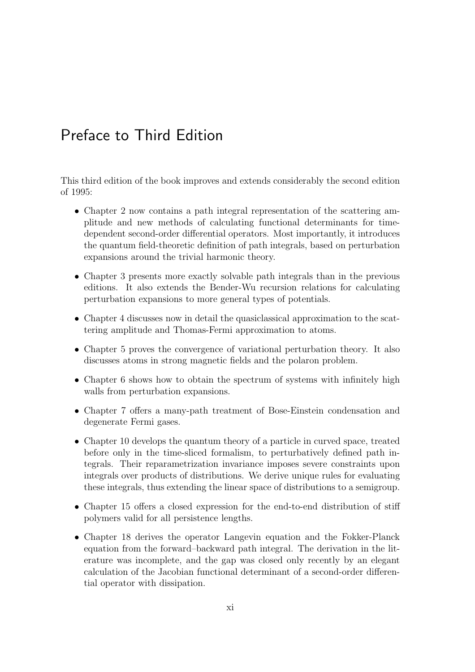#### Preface to Third Edition

This third edition of the book improves and extends considerably the second edition of 1995:

- Chapter 2 now contains a path integral representation of the scattering amplitude and new methods of calculating functional determinants for timedependent second-order differential operators. Most importantly, it introduces the quantum field-theoretic definition of path integrals, based on perturbation expansions around the trivial harmonic theory.
- Chapter 3 presents more exactly solvable path integrals than in the previous editions. It also extends the Bender-Wu recursion relations for calculating perturbation expansions to more general types of potentials.
- Chapter 4 discusses now in detail the quasiclassical approximation to the scattering amplitude and Thomas-Fermi approximation to atoms.
- Chapter 5 proves the convergence of variational perturbation theory. It also discusses atoms in strong magnetic fields and the polaron problem.
- Chapter 6 shows how to obtain the spectrum of systems with infinitely high walls from perturbation expansions.
- Chapter 7 offers a many-path treatment of Bose-Einstein condensation and degenerate Fermi gases.
- Chapter 10 develops the quantum theory of a particle in curved space, treated before only in the time-sliced formalism, to perturbatively defined path integrals. Their reparametrization invariance imposes severe constraints upon integrals over products of distributions. We derive unique rules for evaluating these integrals, thus extending the linear space of distributions to a semigroup.
- Chapter 15 offers a closed expression for the end-to-end distribution of stiff polymers valid for all persistence lengths.
- Chapter 18 derives the operator Langevin equation and the Fokker-Planck equation from the forward–backward path integral. The derivation in the literature was incomplete, and the gap was closed only recently by an elegant calculation of the Jacobian functional determinant of a second-order differential operator with dissipation.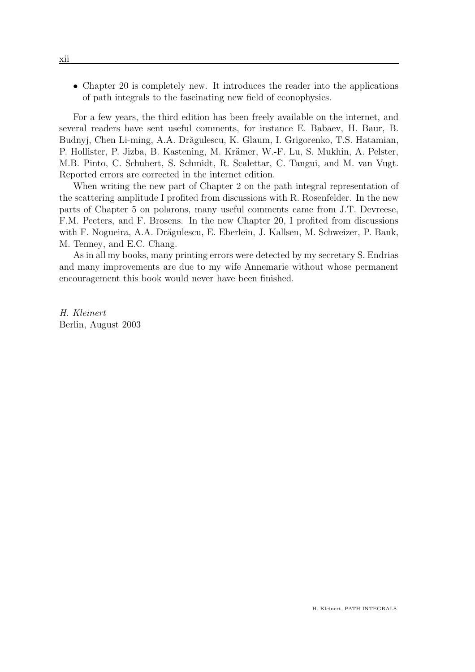• Chapter 20 is completely new. It introduces the reader into the applications of path integrals to the fascinating new field of econophysics.

For a few years, the third edition has been freely available on the internet, and several readers have sent useful comments, for instance E. Babaev, H. Baur, B. Budnyj, Chen Li-ming, A.A. Drăgulescu, K. Glaum, I. Grigorenko, T.S. Hatamian, P. Hollister, P. Jizba, B. Kastening, M. Krämer, W.-F. Lu, S. Mukhin, A. Pelster, M.B. Pinto, C. Schubert, S. Schmidt, R. Scalettar, C. Tangui, and M. van Vugt. Reported errors are corrected in the internet edition.

When writing the new part of Chapter 2 on the path integral representation of the scattering amplitude I profited from discussions with R. Rosenfelder. In the new parts of Chapter 5 on polarons, many useful comments came from J.T. Devreese, F.M. Peeters, and F. Brosens. In the new Chapter 20, I profited from discussions with F. Nogueira, A.A. Drăgulescu, E. Eberlein, J. Kallsen, M. Schweizer, P. Bank, M. Tenney, and E.C. Chang.

As in all my books, many printing errors were detected by my secretary S. Endrias and many improvements are due to my wife Annemarie without whose permanent encouragement this book would never have been finished.

H. Kleinert Berlin, August 2003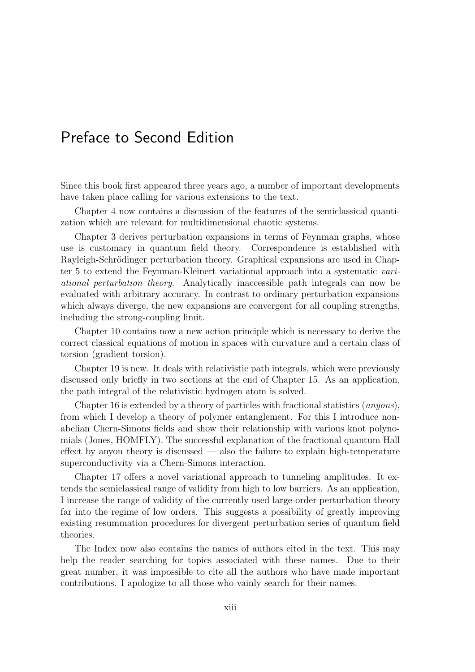### Preface to Second Edition

Since this book first appeared three years ago, a number of important developments have taken place calling for various extensions to the text.

Chapter 4 now contains a discussion of the features of the semiclassical quantization which are relevant for multidimensional chaotic systems.

Chapter 3 derives perturbation expansions in terms of Feynman graphs, whose use is customary in quantum field theory. Correspondence is established with Rayleigh-Schrödinger perturbation theory. Graphical expansions are used in Chapter 5 to extend the Feynman-Kleinert variational approach into a systematic variational perturbation theory. Analytically inaccessible path integrals can now be evaluated with arbitrary accuracy. In contrast to ordinary perturbation expansions which always diverge, the new expansions are convergent for all coupling strengths, including the strong-coupling limit.

Chapter 10 contains now a new action principle which is necessary to derive the correct classical equations of motion in spaces with curvature and a certain class of torsion (gradient torsion).

Chapter 19 is new. It deals with relativistic path integrals, which were previously discussed only briefly in two sections at the end of Chapter 15. As an application, the path integral of the relativistic hydrogen atom is solved.

Chapter 16 is extended by a theory of particles with fractional statistics (anyons), from which I develop a theory of polymer entanglement. For this I introduce nonabelian Chern-Simons fields and show their relationship with various knot polynomials (Jones, HOMFLY). The successful explanation of the fractional quantum Hall effect by anyon theory is discussed  $-$  also the failure to explain high-temperature superconductivity via a Chern-Simons interaction.

Chapter 17 offers a novel variational approach to tunneling amplitudes. It extends the semiclassical range of validity from high to low barriers. As an application, I increase the range of validity of the currently used large-order perturbation theory far into the regime of low orders. This suggests a possibility of greatly improving existing resummation procedures for divergent perturbation series of quantum field theories.

The Index now also contains the names of authors cited in the text. This may help the reader searching for topics associated with these names. Due to their great number, it was impossible to cite all the authors who have made important contributions. I apologize to all those who vainly search for their names.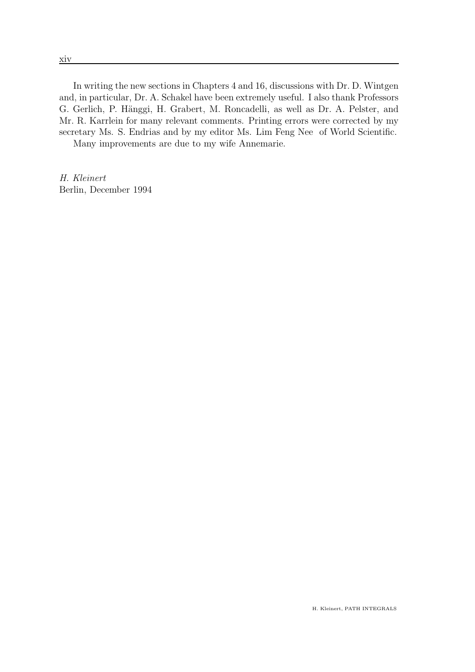In writing the new sections in Chapters 4 and 16, discussions with Dr. D. Wintgen and, in particular, Dr. A. Schakel have been extremely useful. I also thank Professors G. Gerlich, P. Hänggi, H. Grabert, M. Roncadelli, as well as Dr. A. Pelster, and Mr. R. Karrlein for many relevant comments. Printing errors were corrected by my secretary Ms. S. Endrias and by my editor Ms. Lim Feng Nee of World Scientific.

Many improvements are due to my wife Annemarie.

H. Kleinert Berlin, December 1994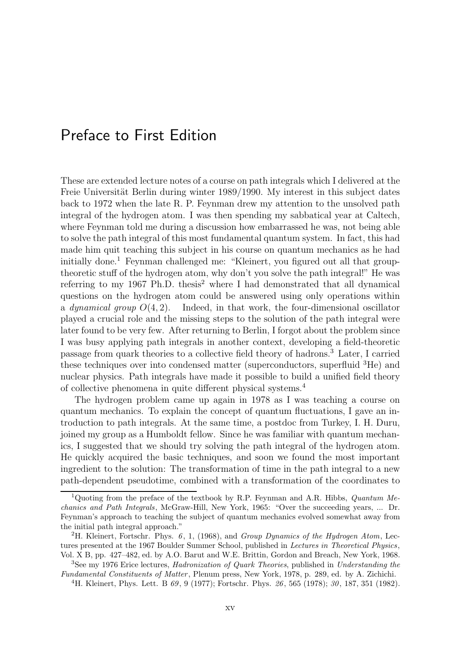#### Preface to First Edition

These are extended lecture notes of a course on path integrals which I delivered at the Freie Universität Berlin during winter 1989/1990. My interest in this subject dates back to 1972 when the late R. P. Feynman drew my attention to the unsolved path integral of the hydrogen atom. I was then spending my sabbatical year at Caltech, where Feynman told me during a discussion how embarrassed he was, not being able to solve the path integral of this most fundamental quantum system. In fact, this had made him quit teaching this subject in his course on quantum mechanics as he had initially done.<sup>1</sup> Feynman challenged me: "Kleinert, you figured out all that grouptheoretic stuff of the hydrogen atom, why don't you solve the path integral!" He was referring to my 1967 Ph.D. thesis<sup>2</sup> where I had demonstrated that all dynamical questions on the hydrogen atom could be answered using only operations within a dynamical group  $O(4, 2)$ . Indeed, in that work, the four-dimensional oscillator played a crucial role and the missing steps to the solution of the path integral were later found to be very few. After returning to Berlin, I forgot about the problem since I was busy applying path integrals in another context, developing a field-theoretic passage from quark theories to a collective field theory of hadrons. <sup>3</sup> Later, I carried these techniques over into condensed matter (superconductors, superfluid <sup>3</sup>He) and nuclear physics. Path integrals have made it possible to build a unified field theory of collective phenomena in quite different physical systems.<sup>4</sup>

The hydrogen problem came up again in 1978 as I was teaching a course on quantum mechanics. To explain the concept of quantum fluctuations, I gave an introduction to path integrals. At the same time, a postdoc from Turkey, I. H. Duru, joined my group as a Humboldt fellow. Since he was familiar with quantum mechanics, I suggested that we should try solving the path integral of the hydrogen atom. He quickly acquired the basic techniques, and soon we found the most important ingredient to the solution: The transformation of time in the path integral to a new path-dependent pseudotime, combined with a transformation of the coordinates to

<sup>&</sup>lt;sup>1</sup>Quoting from the preface of the textbook by R.P. Feynman and A.R. Hibbs, *Quantum Me*chanics and Path Integrals, McGraw-Hill, New York, 1965: "Over the succeeding years, ... Dr. Feynman's approach to teaching the subject of quantum mechanics evolved somewhat away from the initial path integral approach."

<sup>&</sup>lt;sup>2</sup>H. Kleinert, Fortschr. Phys.  $6, 1, (1968)$ , and *Group Dynamics of the Hydrogen Atom*, Lectures presented at the 1967 Boulder Summer School, published in Lectures in Theoretical Physics, Vol. X B, pp. 427–482, ed. by A.O. Barut and W.E. Brittin, Gordon and Breach, New York, 1968.

<sup>&</sup>lt;sup>3</sup>See my 1976 Erice lectures, *Hadronization of Quark Theories*, published in *Understanding the* Fundamental Constituents of Matter, Plenum press, New York, 1978, p. 289, ed. by A. Zichichi.

<sup>&</sup>lt;sup>4</sup>H. Kleinert, Phys. Lett. B  $69, 9$  (1977); Fortschr. Phys.  $26, 565$  (1978);  $30, 187, 351$  (1982).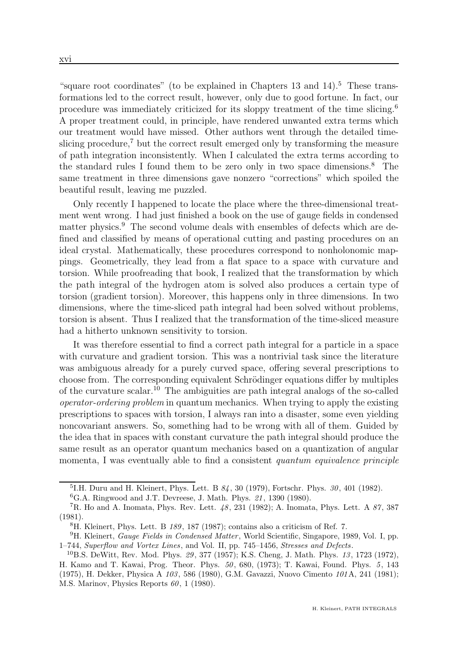"square root coordinates" (to be explained in Chapters 13 and 14). <sup>5</sup> These transformations led to the correct result, however, only due to good fortune. In fact, our procedure was immediately criticized for its sloppy treatment of the time slicing.<sup>6</sup> A proper treatment could, in principle, have rendered unwanted extra terms which our treatment would have missed. Other authors went through the detailed timeslicing procedure, $\frac{7}{1}$  but the correct result emerged only by transforming the measure of path integration inconsistently. When I calculated the extra terms according to the standard rules I found them to be zero only in two space dimensions.<sup>8</sup> The same treatment in three dimensions gave nonzero "corrections" which spoiled the beautiful result, leaving me puzzled.

Only recently I happened to locate the place where the three-dimensional treatment went wrong. I had just finished a book on the use of gauge fields in condensed matter physics.<sup>9</sup> The second volume deals with ensembles of defects which are defined and classified by means of operational cutting and pasting procedures on an ideal crystal. Mathematically, these procedures correspond to nonholonomic mappings. Geometrically, they lead from a flat space to a space with curvature and torsion. While proofreading that book, I realized that the transformation by which the path integral of the hydrogen atom is solved also produces a certain type of torsion (gradient torsion). Moreover, this happens only in three dimensions. In two dimensions, where the time-sliced path integral had been solved without problems, torsion is absent. Thus I realized that the transformation of the time-sliced measure had a hitherto unknown sensitivity to torsion.

It was therefore essential to find a correct path integral for a particle in a space with curvature and gradient torsion. This was a nontrivial task since the literature was ambiguous already for a purely curved space, offering several prescriptions to choose from. The corresponding equivalent Schrödinger equations differ by multiples of the curvature scalar.<sup>10</sup> The ambiguities are path integral analogs of the so-called operator-ordering problem in quantum mechanics. When trying to apply the existing prescriptions to spaces with torsion, I always ran into a disaster, some even yielding noncovariant answers. So, something had to be wrong with all of them. Guided by the idea that in spaces with constant curvature the path integral should produce the same result as an operator quantum mechanics based on a quantization of angular momenta, I was eventually able to find a consistent quantum equivalence principle

<sup>&</sup>lt;sup>5</sup>I.H. Duru and H. Kleinert, Phys. Lett. B  $84$ , 30 (1979), Fortschr. Phys.  $30$ , 401 (1982).

 ${}^{6}$ G.A. Ringwood and J.T. Devreese, J. Math. Phys.  $21$ , 1390 (1980).

<sup>&</sup>lt;sup>7</sup>R. Ho and A. Inomata, Phys. Rev. Lett.  $48$ , 231 (1982); A. Inomata, Phys. Lett. A 87, 387 (1981).

<sup>8</sup>H. Kleinert, Phys. Lett. B 189, 187 (1987); contains also a criticism of Ref. 7.

<sup>&</sup>lt;sup>9</sup>H. Kleinert, *Gauge Fields in Condensed Matter*, World Scientific, Singapore, 1989, Vol. I, pp. 1–744, Superflow and Vortex Lines, and Vol. II, pp. 745–1456, Stresses and Defects.

<sup>10</sup>B.S. DeWitt, Rev. Mod. Phys. 29, 377 (1957); K.S. Cheng, J. Math. Phys. 13, 1723 (1972), H. Kamo and T. Kawai, Prog. Theor. Phys. 50, 680, (1973); T. Kawai, Found. Phys. 5, 143 (1975), H. Dekker, Physica A 103, 586 (1980), G.M. Gavazzi, Nuovo Cimento 101A, 241 (1981); M.S. Marinov, Physics Reports 60, 1 (1980).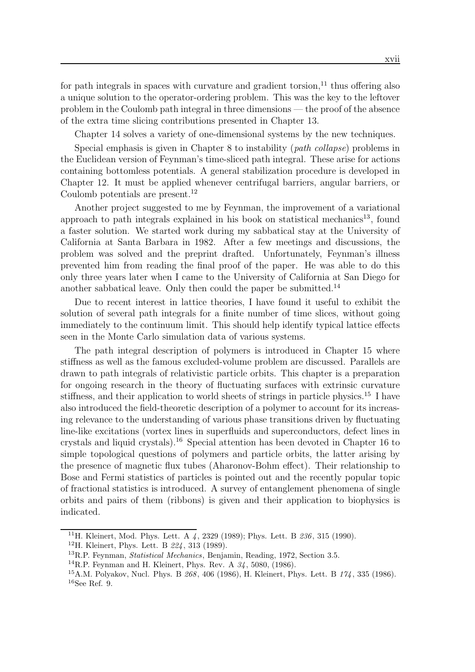for path integrals in spaces with curvature and gradient torsion, $^{11}$  thus offering also a unique solution to the operator-ordering problem. This was the key to the leftover problem in the Coulomb path integral in three dimensions — the proof of the absence of the extra time slicing contributions presented in Chapter 13.

Chapter 14 solves a variety of one-dimensional systems by the new techniques.

Special emphasis is given in Chapter 8 to instability (path collapse) problems in the Euclidean version of Feynman's time-sliced path integral. These arise for actions containing bottomless potentials. A general stabilization procedure is developed in Chapter 12. It must be applied whenever centrifugal barriers, angular barriers, or Coulomb potentials are present.<sup>12</sup>

Another project suggested to me by Feynman, the improvement of a variational approach to path integrals explained in his book on statistical mechanics<sup>13</sup>, found a faster solution. We started work during my sabbatical stay at the University of California at Santa Barbara in 1982. After a few meetings and discussions, the problem was solved and the preprint drafted. Unfortunately, Feynman's illness prevented him from reading the final proof of the paper. He was able to do this only three years later when I came to the University of California at San Diego for another sabbatical leave. Only then could the paper be submitted.<sup>14</sup>

Due to recent interest in lattice theories, I have found it useful to exhibit the solution of several path integrals for a finite number of time slices, without going immediately to the continuum limit. This should help identify typical lattice effects seen in the Monte Carlo simulation data of various systems.

The path integral description of polymers is introduced in Chapter 15 where stiffness as well as the famous excluded-volume problem are discussed. Parallels are drawn to path integrals of relativistic particle orbits. This chapter is a preparation for ongoing research in the theory of fluctuating surfaces with extrinsic curvature stiffness, and their application to world sheets of strings in particle physics.<sup>15</sup> I have also introduced the field-theoretic description of a polymer to account for its increasing relevance to the understanding of various phase transitions driven by fluctuating line-like excitations (vortex lines in superfluids and superconductors, defect lines in crystals and liquid crystals).<sup>16</sup> Special attention has been devoted in Chapter 16 to simple topological questions of polymers and particle orbits, the latter arising by the presence of magnetic flux tubes (Aharonov-Bohm effect). Their relationship to Bose and Fermi statistics of particles is pointed out and the recently popular topic of fractional statistics is introduced. A survey of entanglement phenomena of single orbits and pairs of them (ribbons) is given and their application to biophysics is indicated.

<sup>&</sup>lt;sup>11</sup>H. Kleinert, Mod. Phys. Lett. A 4, 2329 (1989); Phys. Lett. B 236, 315 (1990).

<sup>12</sup>H. Kleinert, Phys. Lett. B 224, 313 (1989).

<sup>13</sup>R.P. Feynman, Statistical Mechanics, Benjamin, Reading, 1972, Section 3.5.

<sup>&</sup>lt;sup>14</sup>R.P. Feynman and H. Kleinert, Phys. Rev. A  $34$ , 5080, (1986).

<sup>15</sup>A.M. Polyakov, Nucl. Phys. B 268, 406 (1986), H. Kleinert, Phys. Lett. B 174, 335 (1986).  $16$ See Ref. 9.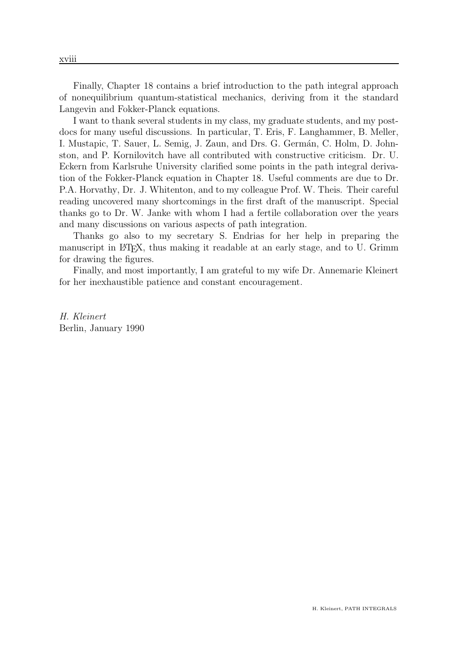Finally, Chapter 18 contains a brief introduction to the path integral approach of nonequilibrium quantum-statistical mechanics, deriving from it the standard Langevin and Fokker-Planck equations.

I want to thank several students in my class, my graduate students, and my postdocs for many useful discussions. In particular, T. Eris, F. Langhammer, B. Meller, I. Mustapic, T. Sauer, L. Semig, J. Zaun, and Drs. G. Germán, C. Holm, D. Johnston, and P. Kornilovitch have all contributed with constructive criticism. Dr. U. Eckern from Karlsruhe University clarified some points in the path integral derivation of the Fokker-Planck equation in Chapter 18. Useful comments are due to Dr. P.A. Horvathy, Dr. J. Whitenton, and to my colleague Prof. W. Theis. Their careful reading uncovered many shortcomings in the first draft of the manuscript. Special thanks go to Dr. W. Janke with whom I had a fertile collaboration over the years and many discussions on various aspects of path integration.

Thanks go also to my secretary S. Endrias for her help in preparing the manuscript in L<sup>AT</sup>EX, thus making it readable at an early stage, and to U. Grimm for drawing the figures.

Finally, and most importantly, I am grateful to my wife Dr. Annemarie Kleinert for her inexhaustible patience and constant encouragement.

H. Kleinert Berlin, January 1990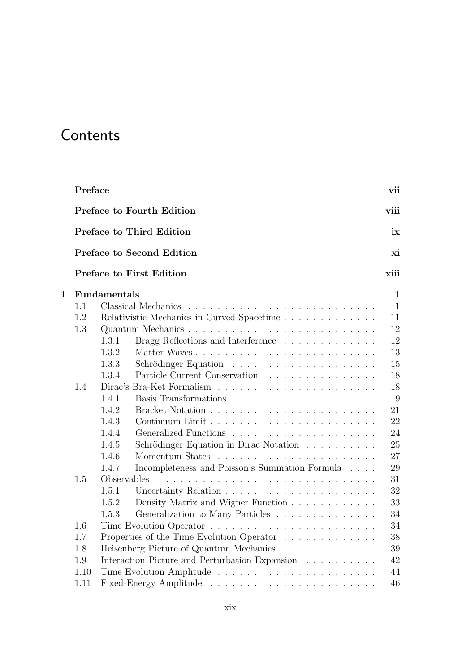## **Contents**

|   | Preface                         |              |                                                | vii                |  |  |
|---|---------------------------------|--------------|------------------------------------------------|--------------------|--|--|
|   | Preface to Fourth Edition       |              |                                                |                    |  |  |
|   | <b>Preface to Third Edition</b> |              |                                                |                    |  |  |
|   |                                 |              | Preface to Second Edition                      | xi                 |  |  |
|   |                                 |              | <b>Preface to First Edition</b>                | xiii               |  |  |
| 1 |                                 | Fundamentals |                                                | $\mathbf{1}$       |  |  |
|   | 1.1<br>1.2                      |              |                                                | $\mathbf{1}$<br>11 |  |  |
|   | 1.3                             |              | Quantum Mechanics                              | 12                 |  |  |
|   |                                 | 1.3.1        | Bragg Reflections and Interference             | 12                 |  |  |
|   |                                 | 1.3.2        |                                                | 13                 |  |  |
|   |                                 | 1.3.3        |                                                | 15                 |  |  |
|   |                                 | 1.3.4        | Particle Current Conservation                  | 18                 |  |  |
|   | 1.4                             |              |                                                | 18                 |  |  |
|   |                                 | 1.4.1        |                                                | 19                 |  |  |
|   |                                 | 1.4.2        |                                                | 21                 |  |  |
|   |                                 | 1.4.3        |                                                | 22                 |  |  |
|   |                                 | 1.4.4        |                                                | 24                 |  |  |
|   |                                 | 1.4.5        | Schrödinger Equation in Dirac Notation         | 25                 |  |  |
|   |                                 | 1.4.6        |                                                | 27                 |  |  |
|   |                                 | 1.4.7        | Incompleteness and Poisson's Summation Formula | 29                 |  |  |
|   | 1.5                             | Observables  |                                                | 31                 |  |  |
|   |                                 | 1.5.1        |                                                | 32                 |  |  |
|   |                                 | 1.5.2        | Density Matrix and Wigner Function             | 33                 |  |  |
|   |                                 | 1.5.3        | Generalization to Many Particles               | 34                 |  |  |
|   | 1.6                             |              |                                                | 34                 |  |  |
|   | 1.7                             |              | Properties of the Time Evolution Operator      | 38                 |  |  |
|   | 1.8                             |              | Heisenberg Picture of Quantum Mechanics        | 39                 |  |  |
|   | 1.9                             |              | Interaction Picture and Perturbation Expansion | 42                 |  |  |
|   | 1.10                            |              |                                                | 44                 |  |  |
|   | 1.11                            |              |                                                | 46                 |  |  |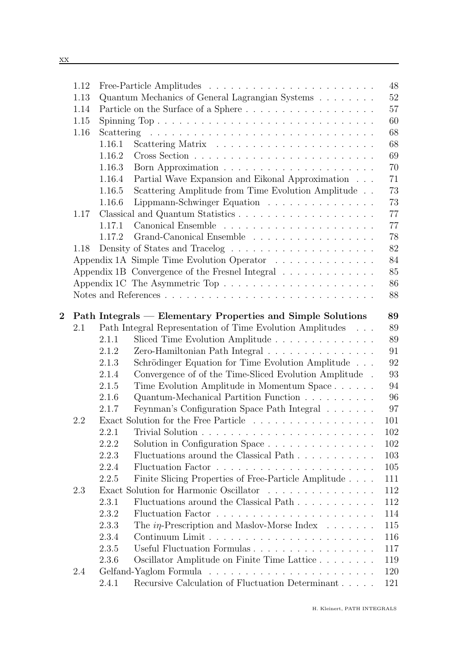|          | 1.12 |        |                                                                                  | 48  |
|----------|------|--------|----------------------------------------------------------------------------------|-----|
|          | 1.13 |        | Quantum Mechanics of General Lagrangian Systems                                  | 52  |
|          | 1.14 |        |                                                                                  | 57  |
|          | 1.15 |        |                                                                                  | 60  |
|          | 1.16 |        |                                                                                  | 68  |
|          |      | 1.16.1 |                                                                                  | 68  |
|          |      | 1.16.2 |                                                                                  | 69  |
|          |      | 1.16.3 |                                                                                  | 70  |
|          |      | 1.16.4 | Partial Wave Expansion and Eikonal Approximation                                 | 71  |
|          |      | 1.16.5 | Scattering Amplitude from Time Evolution Amplitude                               | 73  |
|          |      | 1.16.6 | Lippmann-Schwinger Equation                                                      | 73  |
|          | 1.17 |        |                                                                                  | 77  |
|          |      | 1.17.1 |                                                                                  | 77  |
|          |      | 1.17.2 | Grand-Canonical Ensemble                                                         | 78  |
|          | 1.18 |        |                                                                                  | 82  |
|          |      |        | Appendix 1A Simple Time Evolution Operator                                       | 84  |
|          |      |        | Appendix 1B Convergence of the Fresnel Integral                                  | 85  |
|          |      |        | Appendix 1C The Asymmetric Top $\dots \dots \dots \dots \dots \dots \dots \dots$ | 86  |
|          |      |        |                                                                                  | 88  |
|          |      |        |                                                                                  |     |
| $\bf{2}$ |      |        | Path Integrals — Elementary Properties and Simple Solutions                      | 89  |
|          | 2.1  |        | Path Integral Representation of Time Evolution Amplitudes                        | 89  |
|          |      | 2.1.1  | Sliced Time Evolution Amplitude                                                  | 89  |
|          |      | 2.1.2  | Zero-Hamiltonian Path Integral                                                   | 91  |
|          |      | 2.1.3  | Schrödinger Equation for Time Evolution Amplitude                                | 92  |
|          |      | 2.1.4  | Convergence of of the Time-Sliced Evolution Amplitude.                           | 93  |
|          |      | 2.1.5  | Time Evolution Amplitude in Momentum Space                                       | 94  |
|          |      | 2.1.6  | Quantum-Mechanical Partition Function                                            | 96  |
|          |      | 2.1.7  | Feynman's Configuration Space Path Integral                                      | 97  |
|          | 2.2  |        | Exact Solution for the Free Particle                                             | 101 |
|          |      | 2.2.1  | Trivial Solution                                                                 | 102 |
|          |      | 2.2.2  | Solution in Configuration Space $\ldots \ldots \ldots \ldots \ldots$             | 102 |
|          |      | 2.2.3  | Fluctuations around the Classical Path                                           | 103 |
|          |      | 2.2.4  |                                                                                  | 105 |
|          |      | 2.2.5  | Finite Slicing Properties of Free-Particle Amplitude                             | 111 |
|          | 2.3  |        | Exact Solution for Harmonic Oscillator                                           | 112 |
|          |      | 2.3.1  | Fluctuations around the Classical Path                                           | 112 |
|          |      | 2.3.2  |                                                                                  | 114 |
|          |      | 2.3.3  | The $i\eta$ -Prescription and Maslov-Morse Index                                 | 115 |
|          |      | 2.3.4  |                                                                                  | 116 |
|          |      | 2.3.5  | Useful Fluctuation Formulas                                                      | 117 |
|          |      | 2.3.6  | Oscillator Amplitude on Finite Time Lattice                                      | 119 |
|          | 2.4  |        |                                                                                  | 120 |
|          |      | 2.4.1  | Recursive Calculation of Fluctuation Determinant                                 | 121 |

xx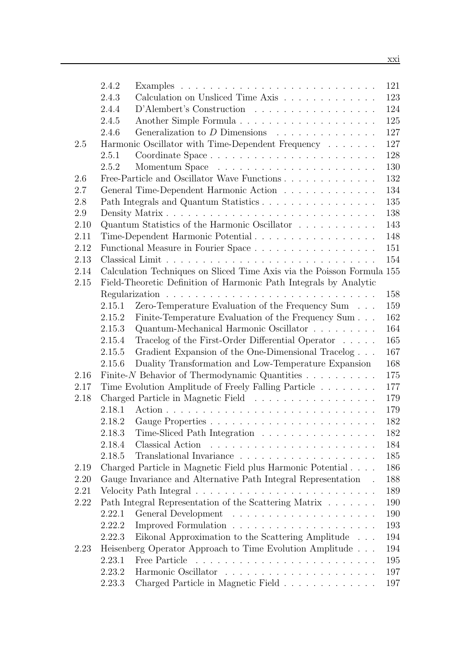|      | 2.4.2  |                                                                        | 121 |
|------|--------|------------------------------------------------------------------------|-----|
|      | 2.4.3  | Calculation on Unsliced Time Axis                                      | 123 |
|      | 2.4.4  | D'Alembert's Construction                                              | 124 |
|      | 2.4.5  |                                                                        | 125 |
|      | 2.4.6  | Generalization to $D$ Dimensions                                       | 127 |
| 2.5  |        | Harmonic Oscillator with Time-Dependent Frequency                      | 127 |
|      | 2.5.1  |                                                                        | 128 |
|      | 2.5.2  |                                                                        | 130 |
| 2.6  |        | Free-Particle and Oscillator Wave Functions                            | 132 |
| 2.7  |        | General Time-Dependent Harmonic Action                                 | 134 |
| 2.8  |        | Path Integrals and Quantum Statistics                                  | 135 |
| 2.9  |        |                                                                        | 138 |
| 2.10 |        | Quantum Statistics of the Harmonic Oscillator                          | 143 |
| 2.11 |        | Time-Dependent Harmonic Potential                                      | 148 |
| 2.12 |        | Functional Measure in Fourier Space                                    | 151 |
| 2.13 |        |                                                                        | 154 |
| 2.14 |        | Calculation Techniques on Sliced Time Axis via the Poisson Formula 155 |     |
| 2.15 |        | Field-Theoretic Definition of Harmonic Path Integrals by Analytic      |     |
|      |        |                                                                        | 158 |
|      | 2.15.1 | Zero-Temperature Evaluation of the Frequency Sum                       | 159 |
|      | 2.15.2 | Finite-Temperature Evaluation of the Frequency Sum                     | 162 |
|      | 2.15.3 | Quantum-Mechanical Harmonic Oscillator                                 | 164 |
|      | 2.15.4 | Tracelog of the First-Order Differential Operator                      | 165 |
|      | 2.15.5 | Gradient Expansion of the One-Dimensional Tracelog                     | 167 |
|      | 2.15.6 | Duality Transformation and Low-Temperature Expansion                   | 168 |
| 2.16 |        | Finite-N Behavior of Thermodynamic Quantities                          | 175 |
| 2.17 |        | Time Evolution Amplitude of Freely Falling Particle                    | 177 |
| 2.18 |        | Charged Particle in Magnetic Field                                     | 179 |
|      | 2.18.1 |                                                                        | 179 |
|      | 2.18.2 |                                                                        | 182 |
|      | 2.18.3 | Time-Sliced Path Integration                                           | 182 |
|      | 2.18.4 |                                                                        | 184 |
|      | 2.18.5 |                                                                        | 185 |
| 2.19 |        | Charged Particle in Magnetic Field plus Harmonic Potential             | 186 |
| 2.20 |        | Gauge Invariance and Alternative Path Integral Representation          | 188 |
| 2.21 |        |                                                                        | 189 |
| 2.22 |        | Path Integral Representation of the Scattering Matrix                  | 190 |
|      | 2.22.1 |                                                                        | 190 |
|      | 2.22.2 |                                                                        | 193 |
|      | 2.22.3 | Eikonal Approximation to the Scattering Amplitude                      | 194 |
| 2.23 |        | Heisenberg Operator Approach to Time Evolution Amplitude               | 194 |
|      | 2.23.1 | Free Particle                                                          | 195 |
|      | 2.23.2 |                                                                        | 197 |
|      | 2.23.3 | Charged Particle in Magnetic Field                                     | 197 |
|      |        |                                                                        |     |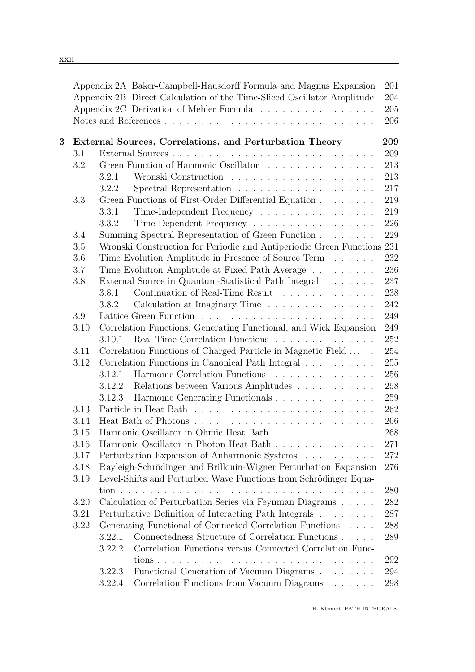|   |      | Appendix 2A Baker-Campbell-Hausdorff Formula and Magnus Expansion<br>Appendix 2B Direct Calculation of the Time-Sliced Oscillator Amplitude<br>Appendix 2C Derivation of Mehler Formula | 201<br>204<br>205 |
|---|------|-----------------------------------------------------------------------------------------------------------------------------------------------------------------------------------------|-------------------|
|   |      |                                                                                                                                                                                         | 206               |
| 3 |      | External Sources, Correlations, and Perturbation Theory                                                                                                                                 | 209               |
|   | 3.1  |                                                                                                                                                                                         | 209               |
|   | 3.2  | Green Function of Harmonic Oscillator                                                                                                                                                   | 213               |
|   |      | 3.2.1                                                                                                                                                                                   | 213               |
|   |      | 3.2.2                                                                                                                                                                                   | 217               |
|   | 3.3  | Green Functions of First-Order Differential Equation                                                                                                                                    | 219               |
|   |      | Time-Independent Frequency<br>3.3.1                                                                                                                                                     | 219               |
|   |      | Time-Dependent Frequency<br>3.3.2                                                                                                                                                       | 226               |
|   | 3.4  | Summing Spectral Representation of Green Function                                                                                                                                       | 229               |
|   | 3.5  | Wronski Construction for Periodic and Antiperiodic Green Functions 231                                                                                                                  |                   |
|   | 3.6  | Time Evolution Amplitude in Presence of Source Term                                                                                                                                     | 232               |
|   | 3.7  | Time Evolution Amplitude at Fixed Path Average                                                                                                                                          | 236               |
|   | 3.8  | External Source in Quantum-Statistical Path Integral                                                                                                                                    | 237               |
|   |      | Continuation of Real-Time Result<br>3.8.1                                                                                                                                               | 238               |
|   |      | Calculation at Imaginary Time<br>3.8.2                                                                                                                                                  | 242               |
|   | 3.9  |                                                                                                                                                                                         | 249               |
|   | 3.10 | Correlation Functions, Generating Functional, and Wick Expansion                                                                                                                        | 249               |
|   |      | Real-Time Correlation Functions<br>3.10.1                                                                                                                                               | 252               |
|   | 3.11 | Correlation Functions of Charged Particle in Magnetic Field                                                                                                                             | 254               |
|   | 3.12 | Correlation Functions in Canonical Path Integral                                                                                                                                        | 255               |
|   |      | Harmonic Correlation Functions<br>3.12.1                                                                                                                                                | 256               |
|   |      | Relations between Various Amplitudes<br>3.12.2                                                                                                                                          | 258               |
|   |      | Harmonic Generating Functionals<br>3.12.3                                                                                                                                               | 259               |
|   | 3.13 |                                                                                                                                                                                         | 262               |
|   | 3.14 |                                                                                                                                                                                         | 266               |
|   | 3.15 | Harmonic Oscillator in Ohmic Heat Bath                                                                                                                                                  | 268               |
|   | 3.16 | Harmonic Oscillator in Photon Heat Bath                                                                                                                                                 | 271               |
|   | 3.17 | Perturbation Expansion of Anharmonic Systems                                                                                                                                            | 272               |
|   | 3.18 | Rayleigh-Schrödinger and Brillouin-Wigner Perturbation Expansion                                                                                                                        | 276               |
|   | 3.19 | Level-Shifts and Perturbed Wave Functions from Schrödinger Equa-                                                                                                                        |                   |
|   |      |                                                                                                                                                                                         | 280               |
|   | 3.20 | Calculation of Perturbation Series via Feynman Diagrams                                                                                                                                 | 282               |
|   | 3.21 | Perturbative Definition of Interacting Path Integrals                                                                                                                                   | 287               |
|   | 3.22 | Generating Functional of Connected Correlation Functions                                                                                                                                | $288\,$           |
|   |      | Connectedness Structure of Correlation Functions<br>3.22.1                                                                                                                              | 289               |
|   |      | Correlation Functions versus Connected Correlation Func-<br>3.22.2                                                                                                                      |                   |
|   |      |                                                                                                                                                                                         | 292               |
|   |      | Functional Generation of Vacuum Diagrams<br>3.22.3                                                                                                                                      | $\,294$           |
|   |      | Correlation Functions from Vacuum Diagrams<br>3.22.4                                                                                                                                    | 298               |
|   |      |                                                                                                                                                                                         |                   |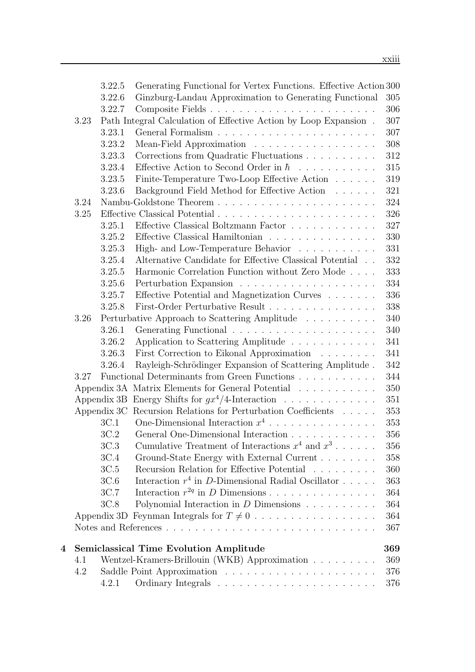|   |      | 3.22.5      | Generating Functional for Vertex Functions. Effective Action 300          |         |
|---|------|-------------|---------------------------------------------------------------------------|---------|
|   |      | 3.22.6      | Ginzburg-Landau Approximation to Generating Functional                    | 305     |
|   |      | 3.22.7      | Composite Fields                                                          | 306     |
|   | 3.23 |             | Path Integral Calculation of Effective Action by Loop Expansion.          | 307     |
|   |      | 3.23.1      |                                                                           | 307     |
|   |      | 3.23.2      | Mean-Field Approximation                                                  | 308     |
|   |      | 3.23.3      | Corrections from Quadratic Fluctuations                                   | 312     |
|   |      | 3.23.4      | Effective Action to Second Order in $\hbar$                               | 315     |
|   |      | 3.23.5      | Finite-Temperature Two-Loop Effective Action                              | 319     |
|   |      | 3.23.6      | Background Field Method for Effective Action                              | 321     |
|   | 3.24 |             |                                                                           | 324     |
|   | 3.25 |             |                                                                           | 326     |
|   |      | 3.25.1      | Effective Classical Boltzmann Factor                                      | 327     |
|   |      | 3.25.2      | Effective Classical Hamiltonian                                           | 330     |
|   |      | 3.25.3      | High- and Low-Temperature Behavior                                        | 331     |
|   |      | 3.25.4      | Alternative Candidate for Effective Classical Potential                   | 332     |
|   |      | 3.25.5      | Harmonic Correlation Function without Zero Mode                           | 333     |
|   |      | 3.25.6      | Perturbation Expansion $\ldots \ldots \ldots \ldots \ldots \ldots \ldots$ | 334     |
|   |      | 3.25.7      | Effective Potential and Magnetization Curves                              | 336     |
|   |      | 3.25.8      |                                                                           | 338     |
|   | 3.26 |             | Perturbative Approach to Scattering Amplitude                             | 340     |
|   |      | 3.26.1      |                                                                           | 340     |
|   |      | 3.26.2      | Application to Scattering Amplitude $\ldots \ldots \ldots \ldots$         | 341     |
|   |      | 3.26.3      | First Correction to Eikonal Approximation                                 | 341     |
|   |      | 3.26.4      | Rayleigh-Schrödinger Expansion of Scattering Amplitude.                   | 342     |
|   | 3.27 |             | Functional Determinants from Green Functions                              | 344     |
|   |      |             | Appendix 3A Matrix Elements for General Potential                         | 350     |
|   |      |             | Appendix 3B Energy Shifts for $gx^4/4$ -Interaction                       | 351     |
|   |      |             | Appendix 3C Recursion Relations for Perturbation Coefficients             | 353     |
|   |      | 3C.1        | One-Dimensional Interaction $x^4$                                         | 353     |
|   |      | 3C.2        | General One-Dimensional Interaction                                       | $356\,$ |
|   |      | 3C.3        | Cumulative Treatment of Interactions $x^4$ and $x^3$                      | 356     |
|   |      | 3C.4        | Ground-State Energy with External Current                                 | 358     |
|   |      | 3C.5        | Recursion Relation for Effective Potential                                | 360     |
|   |      | 3C.6        | Interaction $r^4$ in D-Dimensional Radial Oscillator                      | 363     |
|   |      | 3C.7        | Interaction $r^{2q}$ in D Dimensions                                      | 364     |
|   |      | 3C.8        | Polynomial Interaction in $D$ Dimensions                                  | 364     |
|   |      | Appendix 3D |                                                                           | 364     |
|   |      |             |                                                                           | 367     |
| 4 |      |             | <b>Semiclassical Time Evolution Amplitude</b>                             | 369     |
|   | 4.1  |             | Wentzel-Kramers-Brillouin (WKB) Approximation                             | 369     |
|   | 4.2  |             |                                                                           | 376     |
|   |      | 4.2.1       |                                                                           | 376     |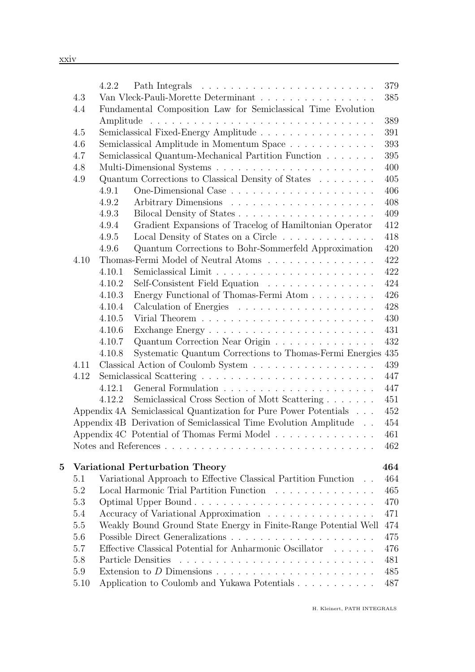xxiv

|   |      | 4.2.2  |                                                                                                               | 379        |
|---|------|--------|---------------------------------------------------------------------------------------------------------------|------------|
|   | 4.3  |        | Van Vleck-Pauli-Morette Determinant                                                                           | 385        |
|   | 4.4  |        | Fundamental Composition Law for Semiclassical Time Evolution                                                  |            |
|   |      |        |                                                                                                               | 389        |
|   | 4.5  |        | Semiclassical Fixed-Energy Amplitude                                                                          | 391        |
|   | 4.6  |        | Semiclassical Amplitude in Momentum Space                                                                     | 393        |
|   | 4.7  |        | Semiclassical Quantum-Mechanical Partition Function                                                           | 395        |
|   | 4.8  |        |                                                                                                               | 400        |
|   | 4.9  |        | Quantum Corrections to Classical Density of States $\ldots \ldots \ldots$                                     | 405        |
|   |      | 4.9.1  |                                                                                                               | 406        |
|   |      | 4.9.2  |                                                                                                               | 408        |
|   |      | 4.9.3  |                                                                                                               | 409        |
|   |      | 4.9.4  | Gradient Expansions of Tracelog of Hamiltonian Operator                                                       | 412        |
|   |      | 4.9.5  | Local Density of States on a Circle                                                                           | 418        |
|   |      | 4.9.6  | Quantum Corrections to Bohr-Sommerfeld Approximation                                                          | 420        |
|   | 4.10 |        | Thomas-Fermi Model of Neutral Atoms                                                                           | 422        |
|   |      | 4.10.1 |                                                                                                               | 422        |
|   |      | 4.10.2 | Self-Consistent Field Equation                                                                                | 424        |
|   |      | 4.10.3 | Energy Functional of Thomas-Fermi Atom                                                                        | 426        |
|   |      | 4.10.4 |                                                                                                               | 428        |
|   |      | 4.10.5 |                                                                                                               | 430        |
|   |      | 4.10.6 |                                                                                                               | 431        |
|   |      | 4.10.7 | Quantum Correction Near Origin                                                                                | 432        |
|   |      | 4.10.8 | Systematic Quantum Corrections to Thomas-Fermi Energies 435                                                   |            |
|   | 4.11 |        | Classical Action of Coulomb System                                                                            | 439        |
|   | 4.12 |        |                                                                                                               | 447        |
|   |      | 4.12.1 |                                                                                                               | 447        |
|   |      | 4.12.2 | Semiclassical Cross Section of Mott Scattering                                                                | 451        |
|   |      |        | Appendix 4A Semiclassical Quantization for Pure Power Potentials                                              | 452        |
|   |      |        | Appendix 4B Derivation of Semiclassical Time Evolution Amplitude                                              | 454        |
|   |      |        |                                                                                                               | 461        |
|   |      |        |                                                                                                               | 462        |
|   |      |        |                                                                                                               |            |
| 5 | 5.1  |        | Variational Perturbation Theory<br>Variational Approach to Effective Classical Partition Function<br>$\sim$ . | 464<br>464 |
|   | 5.2  |        | Local Harmonic Trial Partition Function                                                                       | 465        |
|   | 5.3  |        |                                                                                                               | 470        |
|   | 5.4  |        | Accuracy of Variational Approximation                                                                         | 471        |
|   | 5.5  |        | Weakly Bound Ground State Energy in Finite-Range Potential Well                                               | 474        |
|   | 5.6  |        |                                                                                                               | 475        |
|   | 5.7  |        | Effective Classical Potential for Anharmonic Oscillator<br>$\sim$ 1. $\sim$ 1. $\sim$ 1. $\sim$               | 476        |
|   | 5.8  |        | Particle Densities                                                                                            | 481        |
|   | 5.9  |        | Extension to D Dimensions $\ldots$ , $\ldots$ , $\ldots$ , $\ldots$ , $\ldots$ , $\ldots$                     | 485        |
|   | 5.10 |        |                                                                                                               | 487        |
|   |      |        |                                                                                                               |            |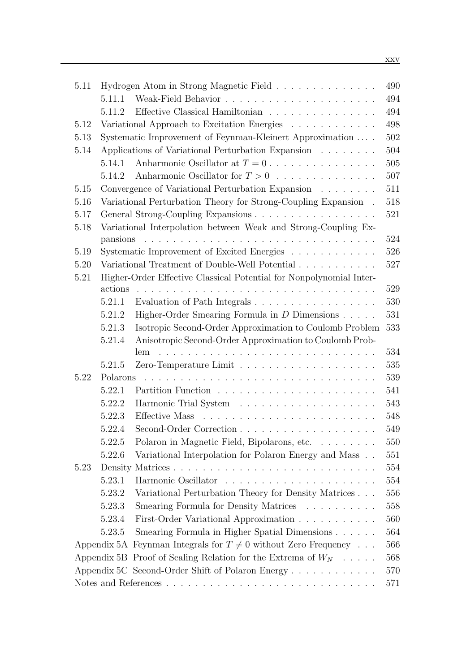| 5.11 |          | Hydrogen Atom in Strong Magnetic Field                                                                                                                                                                                        | 490 |
|------|----------|-------------------------------------------------------------------------------------------------------------------------------------------------------------------------------------------------------------------------------|-----|
|      | 5.11.1   |                                                                                                                                                                                                                               | 494 |
|      | 5.11.2   | Effective Classical Hamiltonian                                                                                                                                                                                               | 494 |
| 5.12 |          | Variational Approach to Excitation Energies                                                                                                                                                                                   | 498 |
| 5.13 |          | Systematic Improvement of Feynman-Kleinert Approximation                                                                                                                                                                      | 502 |
| 5.14 |          | Applications of Variational Perturbation Expansion                                                                                                                                                                            | 504 |
|      | 5.14.1   | Anharmonic Oscillator at $T = 0$                                                                                                                                                                                              | 505 |
|      | 5.14.2   | Anharmonic Oscillator for $T > 0$                                                                                                                                                                                             | 507 |
| 5.15 |          | Convergence of Variational Perturbation Expansion                                                                                                                                                                             | 511 |
| 5.16 |          | Variational Perturbation Theory for Strong-Coupling Expansion.                                                                                                                                                                | 518 |
| 5.17 |          | General Strong-Coupling Expansions                                                                                                                                                                                            | 521 |
| 5.18 |          | Variational Interpolation between Weak and Strong-Coupling Ex-                                                                                                                                                                |     |
|      | pansions | and a construction of the construction of the construction of the construction of the construction of the construction of the construction of the construction of the construction of the construction of the construction of | 524 |
| 5.19 |          | Systematic Improvement of Excited Energies                                                                                                                                                                                    | 526 |
| 5.20 |          | Variational Treatment of Double-Well Potential                                                                                                                                                                                | 527 |
| 5.21 |          | Higher-Order Effective Classical Potential for Nonpolynomial Inter-                                                                                                                                                           |     |
|      | actions  |                                                                                                                                                                                                                               | 529 |
|      | 5.21.1   | Evaluation of Path Integrals                                                                                                                                                                                                  | 530 |
|      | 5.21.2   | Higher-Order Smearing Formula in $D$ Dimensions                                                                                                                                                                               | 531 |
|      | 5.21.3   | Isotropic Second-Order Approximation to Coulomb Problem                                                                                                                                                                       | 533 |
|      | 5.21.4   | Anisotropic Second-Order Approximation to Coulomb Prob-                                                                                                                                                                       |     |
|      |          |                                                                                                                                                                                                                               | 534 |
|      | 5.21.5   |                                                                                                                                                                                                                               | 535 |
| 5.22 | Polarons |                                                                                                                                                                                                                               | 539 |
|      | 5.22.1   |                                                                                                                                                                                                                               | 541 |
|      | 5.22.2   |                                                                                                                                                                                                                               | 543 |
|      | 5.22.3   |                                                                                                                                                                                                                               | 548 |
|      | 5.22.4   | Second-Order Correction                                                                                                                                                                                                       | 549 |
|      | 5.22.5   | Polaron in Magnetic Field, Bipolarons, etc.<br><u>.</u>                                                                                                                                                                       | 550 |
|      | 5.22.6   | Variational Interpolation for Polaron Energy and Mass                                                                                                                                                                         | 551 |
| 5.23 |          |                                                                                                                                                                                                                               | 554 |
|      | 5.23.1   |                                                                                                                                                                                                                               | 554 |
|      | 5.23.2   | Variational Perturbation Theory for Density Matrices                                                                                                                                                                          | 556 |
|      | 5.23.3   | Smearing Formula for Density Matrices                                                                                                                                                                                         | 558 |
|      | 5.23.4   | First-Order Variational Approximation                                                                                                                                                                                         | 560 |
|      | 5.23.5   | Smearing Formula in Higher Spatial Dimensions                                                                                                                                                                                 | 564 |
|      |          | Appendix 5A Feynman Integrals for $T \neq 0$ without Zero Frequency                                                                                                                                                           | 566 |
|      |          | Appendix 5B Proof of Scaling Relation for the Extrema of $W_N$                                                                                                                                                                | 568 |
|      |          | Appendix 5C Second-Order Shift of Polaron Energy                                                                                                                                                                              | 570 |
|      |          |                                                                                                                                                                                                                               | 571 |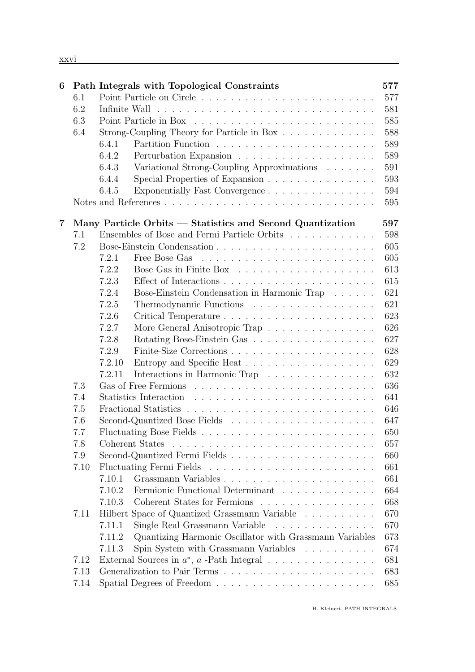| 6.1<br>577<br>6.2<br>581<br>6.3<br>585<br>Strong-Coupling Theory for Particle in Box<br>588<br>6.4<br>589<br>6.4.1<br>6.4.2<br>589<br>6.4.3<br>591<br>Variational Strong-Coupling Approximations<br>6.4.4<br>Special Properties of Expansion<br>593<br>6.4.5<br>594<br>Exponentially Fast Convergence<br>595<br>Many Particle Orbits – Statistics and Second Quantization<br>597<br>$\overline{\mathbf{7}}$<br>Ensembles of Bose and Fermi Particle Orbits<br>598<br>7.1<br>7.2<br>605<br>605<br>7.2.1<br>Free Bose Gas<br>613<br>7.2.2<br>7.2.3<br>615<br>7.2.4<br>621<br>Bose-Einstein Condensation in Harmonic Trap<br>7.2.5<br>621<br>Thermodynamic Functions<br>623<br>7.2.6<br>7.2.7<br>626<br>More General Anisotropic Trap<br>7.2.8<br>Rotating Bose-Einstein Gas<br>627<br>7.2.9<br>628<br>629<br>7.2.10<br>Interactions in Harmonic Trap<br>632<br>7.2.11<br>7.3<br>636<br>641<br>7.4<br>7.5<br>646<br>647<br>7.6<br>7.7<br>650<br>7.8<br>657<br>7.9<br>660<br>661<br>7.10<br>661<br>7.10.1<br>Fermionic Functional Determinant<br>7.10.2<br>664<br>668<br>7.10.3<br>Coherent States for Fermions<br>670<br>Hilbert Space of Quantized Grassmann Variable<br>7.11 | 6 | Path Integrals with Topological Constraints | 577 |
|-----------------------------------------------------------------------------------------------------------------------------------------------------------------------------------------------------------------------------------------------------------------------------------------------------------------------------------------------------------------------------------------------------------------------------------------------------------------------------------------------------------------------------------------------------------------------------------------------------------------------------------------------------------------------------------------------------------------------------------------------------------------------------------------------------------------------------------------------------------------------------------------------------------------------------------------------------------------------------------------------------------------------------------------------------------------------------------------------------------------------------------------------------------------------------|---|---------------------------------------------|-----|
|                                                                                                                                                                                                                                                                                                                                                                                                                                                                                                                                                                                                                                                                                                                                                                                                                                                                                                                                                                                                                                                                                                                                                                             |   |                                             |     |
|                                                                                                                                                                                                                                                                                                                                                                                                                                                                                                                                                                                                                                                                                                                                                                                                                                                                                                                                                                                                                                                                                                                                                                             |   |                                             |     |
|                                                                                                                                                                                                                                                                                                                                                                                                                                                                                                                                                                                                                                                                                                                                                                                                                                                                                                                                                                                                                                                                                                                                                                             |   |                                             |     |
|                                                                                                                                                                                                                                                                                                                                                                                                                                                                                                                                                                                                                                                                                                                                                                                                                                                                                                                                                                                                                                                                                                                                                                             |   |                                             |     |
|                                                                                                                                                                                                                                                                                                                                                                                                                                                                                                                                                                                                                                                                                                                                                                                                                                                                                                                                                                                                                                                                                                                                                                             |   |                                             |     |
|                                                                                                                                                                                                                                                                                                                                                                                                                                                                                                                                                                                                                                                                                                                                                                                                                                                                                                                                                                                                                                                                                                                                                                             |   |                                             |     |
|                                                                                                                                                                                                                                                                                                                                                                                                                                                                                                                                                                                                                                                                                                                                                                                                                                                                                                                                                                                                                                                                                                                                                                             |   |                                             |     |
|                                                                                                                                                                                                                                                                                                                                                                                                                                                                                                                                                                                                                                                                                                                                                                                                                                                                                                                                                                                                                                                                                                                                                                             |   |                                             |     |
|                                                                                                                                                                                                                                                                                                                                                                                                                                                                                                                                                                                                                                                                                                                                                                                                                                                                                                                                                                                                                                                                                                                                                                             |   |                                             |     |
|                                                                                                                                                                                                                                                                                                                                                                                                                                                                                                                                                                                                                                                                                                                                                                                                                                                                                                                                                                                                                                                                                                                                                                             |   |                                             |     |
|                                                                                                                                                                                                                                                                                                                                                                                                                                                                                                                                                                                                                                                                                                                                                                                                                                                                                                                                                                                                                                                                                                                                                                             |   |                                             |     |
|                                                                                                                                                                                                                                                                                                                                                                                                                                                                                                                                                                                                                                                                                                                                                                                                                                                                                                                                                                                                                                                                                                                                                                             |   |                                             |     |
|                                                                                                                                                                                                                                                                                                                                                                                                                                                                                                                                                                                                                                                                                                                                                                                                                                                                                                                                                                                                                                                                                                                                                                             |   |                                             |     |
|                                                                                                                                                                                                                                                                                                                                                                                                                                                                                                                                                                                                                                                                                                                                                                                                                                                                                                                                                                                                                                                                                                                                                                             |   |                                             |     |
|                                                                                                                                                                                                                                                                                                                                                                                                                                                                                                                                                                                                                                                                                                                                                                                                                                                                                                                                                                                                                                                                                                                                                                             |   |                                             |     |
|                                                                                                                                                                                                                                                                                                                                                                                                                                                                                                                                                                                                                                                                                                                                                                                                                                                                                                                                                                                                                                                                                                                                                                             |   |                                             |     |
|                                                                                                                                                                                                                                                                                                                                                                                                                                                                                                                                                                                                                                                                                                                                                                                                                                                                                                                                                                                                                                                                                                                                                                             |   |                                             |     |
|                                                                                                                                                                                                                                                                                                                                                                                                                                                                                                                                                                                                                                                                                                                                                                                                                                                                                                                                                                                                                                                                                                                                                                             |   |                                             |     |
|                                                                                                                                                                                                                                                                                                                                                                                                                                                                                                                                                                                                                                                                                                                                                                                                                                                                                                                                                                                                                                                                                                                                                                             |   |                                             |     |
|                                                                                                                                                                                                                                                                                                                                                                                                                                                                                                                                                                                                                                                                                                                                                                                                                                                                                                                                                                                                                                                                                                                                                                             |   |                                             |     |
|                                                                                                                                                                                                                                                                                                                                                                                                                                                                                                                                                                                                                                                                                                                                                                                                                                                                                                                                                                                                                                                                                                                                                                             |   |                                             |     |
|                                                                                                                                                                                                                                                                                                                                                                                                                                                                                                                                                                                                                                                                                                                                                                                                                                                                                                                                                                                                                                                                                                                                                                             |   |                                             |     |
|                                                                                                                                                                                                                                                                                                                                                                                                                                                                                                                                                                                                                                                                                                                                                                                                                                                                                                                                                                                                                                                                                                                                                                             |   |                                             |     |
|                                                                                                                                                                                                                                                                                                                                                                                                                                                                                                                                                                                                                                                                                                                                                                                                                                                                                                                                                                                                                                                                                                                                                                             |   |                                             |     |
|                                                                                                                                                                                                                                                                                                                                                                                                                                                                                                                                                                                                                                                                                                                                                                                                                                                                                                                                                                                                                                                                                                                                                                             |   |                                             |     |
|                                                                                                                                                                                                                                                                                                                                                                                                                                                                                                                                                                                                                                                                                                                                                                                                                                                                                                                                                                                                                                                                                                                                                                             |   |                                             |     |
|                                                                                                                                                                                                                                                                                                                                                                                                                                                                                                                                                                                                                                                                                                                                                                                                                                                                                                                                                                                                                                                                                                                                                                             |   |                                             |     |
|                                                                                                                                                                                                                                                                                                                                                                                                                                                                                                                                                                                                                                                                                                                                                                                                                                                                                                                                                                                                                                                                                                                                                                             |   |                                             |     |
|                                                                                                                                                                                                                                                                                                                                                                                                                                                                                                                                                                                                                                                                                                                                                                                                                                                                                                                                                                                                                                                                                                                                                                             |   |                                             |     |
|                                                                                                                                                                                                                                                                                                                                                                                                                                                                                                                                                                                                                                                                                                                                                                                                                                                                                                                                                                                                                                                                                                                                                                             |   |                                             |     |
|                                                                                                                                                                                                                                                                                                                                                                                                                                                                                                                                                                                                                                                                                                                                                                                                                                                                                                                                                                                                                                                                                                                                                                             |   |                                             |     |
|                                                                                                                                                                                                                                                                                                                                                                                                                                                                                                                                                                                                                                                                                                                                                                                                                                                                                                                                                                                                                                                                                                                                                                             |   |                                             |     |
|                                                                                                                                                                                                                                                                                                                                                                                                                                                                                                                                                                                                                                                                                                                                                                                                                                                                                                                                                                                                                                                                                                                                                                             |   |                                             |     |
|                                                                                                                                                                                                                                                                                                                                                                                                                                                                                                                                                                                                                                                                                                                                                                                                                                                                                                                                                                                                                                                                                                                                                                             |   |                                             |     |
|                                                                                                                                                                                                                                                                                                                                                                                                                                                                                                                                                                                                                                                                                                                                                                                                                                                                                                                                                                                                                                                                                                                                                                             |   |                                             |     |
|                                                                                                                                                                                                                                                                                                                                                                                                                                                                                                                                                                                                                                                                                                                                                                                                                                                                                                                                                                                                                                                                                                                                                                             |   |                                             |     |
| Single Real Grassmann Variable<br>670<br>7.11.1                                                                                                                                                                                                                                                                                                                                                                                                                                                                                                                                                                                                                                                                                                                                                                                                                                                                                                                                                                                                                                                                                                                             |   |                                             |     |
| Quantizing Harmonic Oscillator with Grassmann Variables<br>673<br>7.11.2                                                                                                                                                                                                                                                                                                                                                                                                                                                                                                                                                                                                                                                                                                                                                                                                                                                                                                                                                                                                                                                                                                    |   |                                             |     |
| Spin System with Grassmann Variables<br>7.11.3<br>674                                                                                                                                                                                                                                                                                                                                                                                                                                                                                                                                                                                                                                                                                                                                                                                                                                                                                                                                                                                                                                                                                                                       |   |                                             |     |
| External Sources in $a^*$ , $a$ -Path Integral<br>681<br>7.12                                                                                                                                                                                                                                                                                                                                                                                                                                                                                                                                                                                                                                                                                                                                                                                                                                                                                                                                                                                                                                                                                                               |   |                                             |     |
| 7.13<br>683                                                                                                                                                                                                                                                                                                                                                                                                                                                                                                                                                                                                                                                                                                                                                                                                                                                                                                                                                                                                                                                                                                                                                                 |   |                                             |     |
| 7.14<br>685                                                                                                                                                                                                                                                                                                                                                                                                                                                                                                                                                                                                                                                                                                                                                                                                                                                                                                                                                                                                                                                                                                                                                                 |   |                                             |     |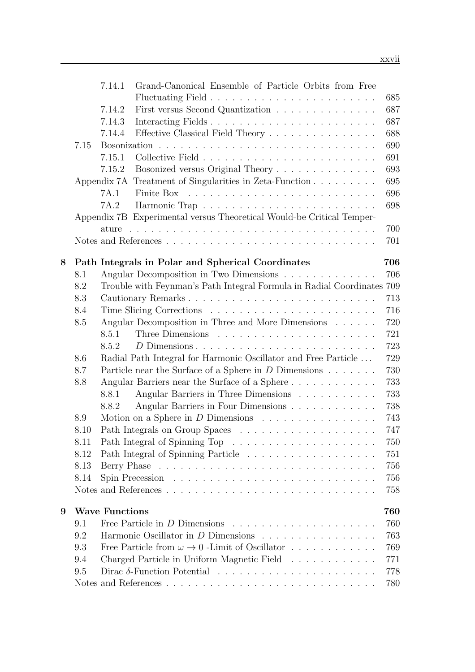|   |      | 7.14.1                | Grand-Canonical Ensemble of Particle Orbits from Free                  |     |
|---|------|-----------------------|------------------------------------------------------------------------|-----|
|   |      |                       |                                                                        | 685 |
|   |      | 7.14.2                | First versus Second Quantization                                       | 687 |
|   |      | 7.14.3                | Interacting Fields                                                     | 687 |
|   |      | 7.14.4                | Effective Classical Field Theory                                       | 688 |
|   | 7.15 |                       |                                                                        | 690 |
|   |      | 7.15.1                |                                                                        | 691 |
|   |      | 7.15.2                | Bosonized versus Original Theory                                       | 693 |
|   |      |                       | Appendix 7A Treatment of Singularities in Zeta-Function                | 695 |
|   |      | 7A.1                  |                                                                        | 696 |
|   |      | 7A.2                  |                                                                        | 698 |
|   |      |                       | Appendix 7B Experimental versus Theoretical Would-be Critical Temper-  |     |
|   |      |                       |                                                                        | 700 |
|   |      |                       |                                                                        | 701 |
| 8 |      |                       | Path Integrals in Polar and Spherical Coordinates                      | 706 |
|   | 8.1  |                       | Angular Decomposition in Two Dimensions                                | 706 |
|   | 8.2  |                       | Trouble with Feynman's Path Integral Formula in Radial Coordinates 709 |     |
|   | 8.3  |                       | Cautionary Remarks                                                     | 713 |
|   | 8.4  |                       |                                                                        | 716 |
|   | 8.5  |                       | Angular Decomposition in Three and More Dimensions                     | 720 |
|   |      | 8.5.1                 |                                                                        | 721 |
|   |      | 8.5.2                 |                                                                        | 723 |
|   | 8.6  |                       | Radial Path Integral for Harmonic Oscillator and Free Particle         | 729 |
|   | 8.7  |                       | Particle near the Surface of a Sphere in $D$ Dimensions $\dots \dots$  | 730 |
|   | 8.8  |                       | Angular Barriers near the Surface of a Sphere                          | 733 |
|   |      | 8.8.1                 | Angular Barriers in Three Dimensions                                   | 733 |
|   |      | 8.8.2                 | Angular Barriers in Four Dimensions                                    | 738 |
|   | 8.9  |                       |                                                                        | 743 |
|   | 8.10 |                       |                                                                        | 747 |
|   | 8.11 |                       |                                                                        | 750 |
|   | 8.12 |                       |                                                                        | 751 |
|   | 8.13 |                       |                                                                        | 756 |
|   | 8.14 |                       |                                                                        | 756 |
|   |      |                       |                                                                        | 758 |
|   |      |                       |                                                                        |     |
| 9 |      | <b>Wave Functions</b> |                                                                        | 760 |
|   | 9.1  |                       | Free Particle in D Dimensions                                          | 760 |
|   | 9.2  |                       |                                                                        | 763 |
|   | 9.3  |                       | Free Particle from $\omega \to 0$ -Limit of Oscillator                 | 769 |
|   | 9.4  |                       | Charged Particle in Uniform Magnetic Field                             | 771 |
|   | 9.5  |                       |                                                                        | 778 |
|   |      |                       |                                                                        | 780 |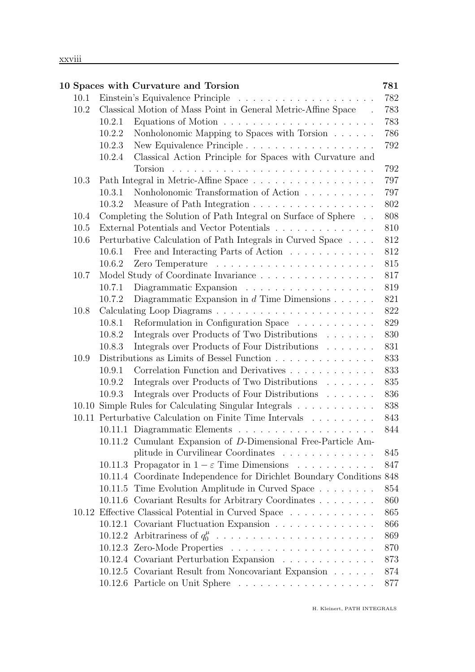|      |        | 10 Spaces with Curvature and Torsion                                               | 781 |
|------|--------|------------------------------------------------------------------------------------|-----|
| 10.1 |        |                                                                                    | 782 |
| 10.2 |        | Classical Motion of Mass Point in General Metric-Affine Space .                    | 783 |
|      | 10.2.1 |                                                                                    | 783 |
|      | 10.2.2 | Nonholonomic Mapping to Spaces with Torsion                                        | 786 |
|      | 10.2.3 | New Equivalence Principle                                                          | 792 |
|      | 10.2.4 | Classical Action Principle for Spaces with Curvature and                           |     |
|      |        |                                                                                    | 792 |
| 10.3 |        | Path Integral in Metric-Affine Space                                               | 797 |
|      | 10.3.1 | Nonholonomic Transformation of Action                                              | 797 |
|      | 10.3.2 | Measure of Path Integration                                                        | 802 |
| 10.4 |        | Completing the Solution of Path Integral on Surface of Sphere $\phantom{1}$ .<br>. | 808 |
| 10.5 |        | External Potentials and Vector Potentials                                          | 810 |
| 10.6 |        | Perturbative Calculation of Path Integrals in Curved Space $\hfill\ldots\hfill$ .  | 812 |
|      | 10.6.1 | Free and Interacting Parts of Action                                               | 812 |
|      | 10.6.2 |                                                                                    | 815 |
| 10.7 |        |                                                                                    | 817 |
|      | 10.7.1 |                                                                                    | 819 |
|      | 10.7.2 | Diagrammatic Expansion in $d$ Time Dimensions                                      | 821 |
| 10.8 |        |                                                                                    | 822 |
|      | 10.8.1 | Reformulation in Configuration Space                                               | 829 |
|      | 10.8.2 | Integrals over Products of Two Distributions $\hfill\ldots\ldots\ldots$            | 830 |
|      | 10.8.3 | Integrals over Products of Four Distributions                                      | 831 |
| 10.9 |        | Distributions as Limits of Bessel Function                                         | 833 |
|      | 10.9.1 | Correlation Function and Derivatives                                               | 833 |
|      | 10.9.2 | Integrals over Products of Two Distributions                                       | 835 |
|      | 10.9.3 | Integrals over Products of Four Distributions                                      | 836 |
|      |        | 10.10 Simple Rules for Calculating Singular Integrals                              | 838 |
|      |        | 10.11 Perturbative Calculation on Finite Time Intervals                            | 843 |
|      |        |                                                                                    | 844 |
|      |        | 10.11.2 Cumulant Expansion of D-Dimensional Free-Particle Am-                      |     |
|      |        | plitude in Curvilinear Coordinates                                                 | 845 |
|      |        | 10.11.3 Propagator in $1 - \varepsilon$ Time Dimensions                            | 847 |
|      |        | 10.11.4 Coordinate Independence for Dirichlet Boundary Conditions 848              |     |
|      |        | 10.11.5 Time Evolution Amplitude in Curved Space                                   | 854 |
|      |        | 10.11.6 Covariant Results for Arbitrary Coordinates                                | 860 |
|      |        | 10.12 Effective Classical Potential in Curved Space                                | 865 |
|      |        | 10.12.1 Covariant Fluctuation Expansion                                            | 866 |
|      |        |                                                                                    | 869 |
|      |        |                                                                                    | 870 |
|      |        | 10.12.4 Covariant Perturbation Expansion                                           | 873 |
|      |        | 10.12.5 Covariant Result from Noncovariant Expansion                               | 874 |
|      |        | 10.12.6 Particle on Unit Sphere                                                    | 877 |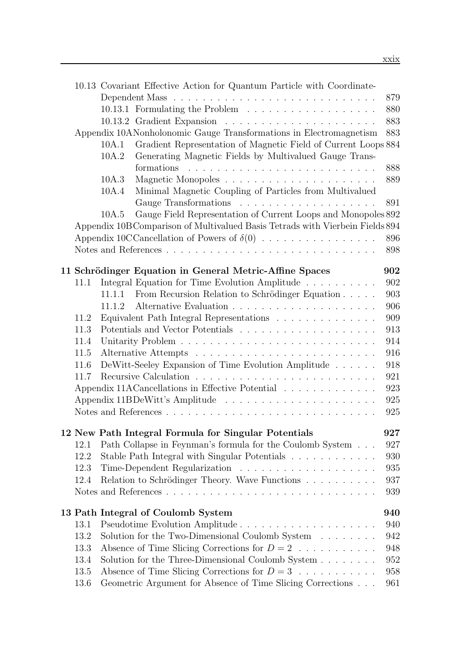|      | 10.13 Covariant Effective Action for Quantum Particle with Coordinate-           |  |
|------|----------------------------------------------------------------------------------|--|
|      | 879                                                                              |  |
|      | 880                                                                              |  |
|      | 883                                                                              |  |
|      | Appendix 10ANonholonomic Gauge Transformations in Electromagnetism<br>883        |  |
|      | Gradient Representation of Magnetic Field of Current Loops 884<br>10A.1          |  |
|      | Generating Magnetic Fields by Multivalued Gauge Trans-<br>10A.2                  |  |
|      | 888<br>formations                                                                |  |
|      | 10A.3<br>889<br>Minimal Magnetic Coupling of Particles from Multivalued<br>10A.4 |  |
|      | 891                                                                              |  |
|      | Gauge Field Representation of Current Loops and Monopoles 892<br>10A.5           |  |
|      | Appendix 10BComparison of Multivalued Basis Tetrads with Vierbein Fields 894     |  |
|      | Appendix 10CCancellation of Powers of $\delta(0)$<br>896                         |  |
|      | 898                                                                              |  |
|      |                                                                                  |  |
|      | 11 Schrödinger Equation in General Metric-Affine Spaces<br>902                   |  |
| 11.1 | Integral Equation for Time Evolution Amplitude<br>902                            |  |
|      | 903<br>From Recursion Relation to Schrödinger Equation<br>11.1.1                 |  |
|      | 906<br>11.1.2                                                                    |  |
| 11.2 | 909<br>Equivalent Path Integral Representations                                  |  |
| 11.3 | 913                                                                              |  |
| 11.4 | 914                                                                              |  |
| 11.5 | 916                                                                              |  |
| 11.6 | DeWitt-Seeley Expansion of Time Evolution Amplitude<br>918                       |  |
| 11.7 | 921                                                                              |  |
|      | Appendix 11ACancellations in Effective Potential<br>923                          |  |
|      | 925                                                                              |  |
|      | 925                                                                              |  |
|      | 12 New Path Integral Formula for Singular Potentials<br>927                      |  |
| 12.1 | Path Collapse in Feynman's formula for the Coulomb System<br>927                 |  |
| 12.2 | Stable Path Integral with Singular Potentials<br>930                             |  |
| 12.3 | 935                                                                              |  |
| 12.4 | Relation to Schrödinger Theory. Wave Functions<br>937                            |  |
|      | 939                                                                              |  |
|      | 13 Path Integral of Coulomb System<br>940                                        |  |
| 13.1 | Pseudotime Evolution Amplitude<br>940                                            |  |
| 13.2 | Solution for the Two-Dimensional Coulomb System $\ldots \ldots$<br>942           |  |
| 13.3 | 948<br>Absence of Time Slicing Corrections for $D = 2$                           |  |
| 13.4 | Solution for the Three-Dimensional Coulomb System $\ldots \ldots$<br>952         |  |
| 13.5 | Absence of Time Slicing Corrections for $D = 3$<br>958                           |  |
| 13.6 | Geometric Argument for Absence of Time Slicing Corrections<br>961                |  |
|      |                                                                                  |  |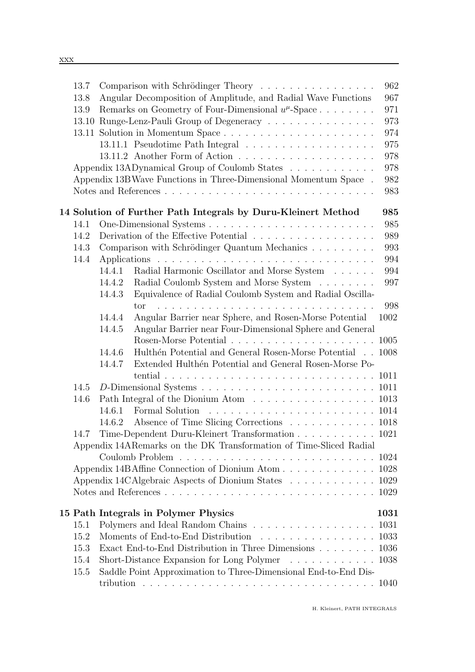|                                               | 13.7                                                                                                                                      |        | Comparison with Schrödinger Theory                                     | 962        |  |  |  |
|-----------------------------------------------|-------------------------------------------------------------------------------------------------------------------------------------------|--------|------------------------------------------------------------------------|------------|--|--|--|
|                                               | Angular Decomposition of Amplitude, and Radial Wave Functions<br>13.8<br>Remarks on Geometry of Four-Dimensional $u^{\mu}$ -Space<br>13.9 |        |                                                                        |            |  |  |  |
|                                               |                                                                                                                                           |        |                                                                        |            |  |  |  |
| Runge-Lenz-Pauli Group of Degeneracy<br>13.10 |                                                                                                                                           |        |                                                                        |            |  |  |  |
|                                               |                                                                                                                                           |        |                                                                        |            |  |  |  |
|                                               |                                                                                                                                           |        |                                                                        |            |  |  |  |
|                                               |                                                                                                                                           |        |                                                                        |            |  |  |  |
|                                               |                                                                                                                                           |        | Appendix 13ADynamical Group of Coulomb States                          | 978<br>978 |  |  |  |
|                                               |                                                                                                                                           |        | Appendix 13B Wave Functions in Three-Dimensional Momentum Space.       | 982        |  |  |  |
|                                               |                                                                                                                                           |        |                                                                        | 983        |  |  |  |
|                                               |                                                                                                                                           |        | 14 Solution of Further Path Integrals by Duru-Kleinert Method          | 985        |  |  |  |
|                                               | 14.1                                                                                                                                      |        |                                                                        | 985        |  |  |  |
|                                               | 14.2                                                                                                                                      |        | Derivation of the Effective Potential                                  | 989        |  |  |  |
|                                               | 14.3                                                                                                                                      |        | Comparison with Schrödinger Quantum Mechanics                          | 993        |  |  |  |
|                                               | 14.4                                                                                                                                      |        |                                                                        | 994        |  |  |  |
|                                               |                                                                                                                                           | 14.4.1 | Radial Harmonic Oscillator and Morse System                            | 994        |  |  |  |
|                                               |                                                                                                                                           | 14.4.2 | Radial Coulomb System and Morse System $\;\ldots\; \ldots\; \ldots\;$  | 997        |  |  |  |
|                                               |                                                                                                                                           | 14.4.3 | Equivalence of Radial Coulomb System and Radial Oscilla-               |            |  |  |  |
|                                               |                                                                                                                                           |        | tor                                                                    | 998        |  |  |  |
|                                               |                                                                                                                                           | 14.4.4 | Angular Barrier near Sphere, and Rosen-Morse Potential                 | 1002       |  |  |  |
|                                               |                                                                                                                                           | 14.4.5 | Angular Barrier near Four-Dimensional Sphere and General               |            |  |  |  |
|                                               |                                                                                                                                           |        |                                                                        | 1005       |  |  |  |
|                                               |                                                                                                                                           | 14.4.6 | Hulthén Potential and General Rosen-Morse Potential 1008               |            |  |  |  |
|                                               |                                                                                                                                           | 14.4.7 | Extended Hulthén Potential and General Rosen-Morse Po-                 |            |  |  |  |
|                                               |                                                                                                                                           |        |                                                                        |            |  |  |  |
|                                               | 14.5                                                                                                                                      |        |                                                                        |            |  |  |  |
|                                               | 14.6                                                                                                                                      |        | Path Integral of the Dionium Atom 1013                                 |            |  |  |  |
|                                               |                                                                                                                                           | 14.6.1 |                                                                        |            |  |  |  |
|                                               |                                                                                                                                           | 14.6.2 | Absence of Time Slicing Corrections $\ldots \ldots \ldots \ldots 1018$ |            |  |  |  |
|                                               | 14.7                                                                                                                                      |        | Time-Dependent Duru-Kleinert Transformation 1021                       |            |  |  |  |
|                                               |                                                                                                                                           |        | Appendix 14ARemarks on the DK Transformation of Time-Sliced Radial     |            |  |  |  |
|                                               |                                                                                                                                           |        |                                                                        |            |  |  |  |
|                                               |                                                                                                                                           |        | Appendix 14BAffine Connection of Dionium Atom 1028                     |            |  |  |  |
|                                               |                                                                                                                                           |        | Appendix 14CAlgebraic Aspects of Dionium States 1029                   |            |  |  |  |
|                                               |                                                                                                                                           |        |                                                                        |            |  |  |  |
|                                               |                                                                                                                                           |        | 15 Path Integrals in Polymer Physics                                   | 1031       |  |  |  |
|                                               | 15.1                                                                                                                                      |        | Polymers and Ideal Random Chains                                       | 1031       |  |  |  |
|                                               | 15.2                                                                                                                                      |        | Moments of End-to-End Distribution                                     | 1033       |  |  |  |
|                                               | 15.3                                                                                                                                      |        | Exact End-to-End Distribution in Three Dimensions                      | 1036       |  |  |  |
|                                               | 15.4                                                                                                                                      |        | Short-Distance Expansion for Long Polymer 1038                         |            |  |  |  |
|                                               | 15.5                                                                                                                                      |        | Saddle Point Approximation to Three-Dimensional End-to-End Dis-        |            |  |  |  |
|                                               |                                                                                                                                           |        |                                                                        |            |  |  |  |
|                                               |                                                                                                                                           |        |                                                                        |            |  |  |  |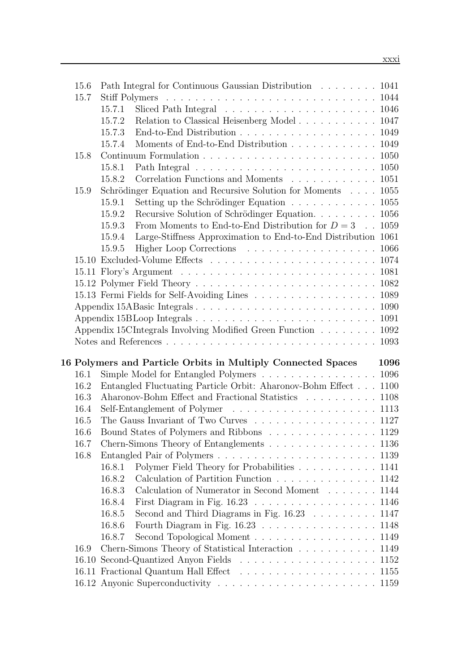| 15.6 | Path Integral for Continuous Gaussian Distribution 1041                          |      |
|------|----------------------------------------------------------------------------------|------|
| 15.7 |                                                                                  |      |
|      | 15.7.1                                                                           |      |
|      | Relation to Classical Heisenberg Model 1047<br>15.7.2                            |      |
|      | 15.7.3                                                                           |      |
|      | 15.7.4<br>Moments of End-to-End Distribution                                     | 1049 |
| 15.8 |                                                                                  |      |
|      | 15.8.1                                                                           |      |
|      | Correlation Functions and Moments 1051<br>15.8.2                                 |      |
| 15.9 | Schrödinger Equation and Recursive Solution for Moments 1055                     |      |
|      | Setting up the Schrödinger Equation $\ldots \ldots \ldots \ldots 1055$<br>15.9.1 |      |
|      | Recursive Solution of Schrödinger Equation. 1056<br>15.9.2                       |      |
|      | From Moments to End-to-End Distribution for $D = 3$<br>15.9.3                    | 1059 |
|      | Large-Stiffness Approximation to End-to-End Distribution 1061<br>15.9.4          |      |
|      | 15.9.5                                                                           | 1066 |
|      |                                                                                  |      |
|      |                                                                                  |      |
|      |                                                                                  |      |
|      | 15.13 Fermi Fields for Self-Avoiding Lines 1089                                  |      |
|      |                                                                                  |      |
|      |                                                                                  |      |
|      | Appendix 15CIntegrals Involving Modified Green Function 1092                     |      |
|      |                                                                                  |      |
|      | 16 Polymers and Particle Orbits in Multiply Connected Spaces                     | 1096 |
| 16.1 | Simple Model for Entangled Polymers 1096                                         |      |
| 16.2 | Entangled Fluctuating Particle Orbit: Aharonov-Bohm Effect                       | 1100 |
| 16.3 | Aharonov-Bohm Effect and Fractional Statistics 1108                              |      |
| 16.4 |                                                                                  |      |
| 16.5 | The Gauss Invariant of Two Curves 1127                                           |      |
| 16.6 | Bound States of Polymers and Ribbons 1129                                        |      |
| 16.7 | Chern-Simons Theory of Entanglements 1136                                        |      |
| 16.8 |                                                                                  |      |
|      | Polymer Field Theory for Probabilities 1141<br>16.8.1                            |      |
|      | 16.8.2<br>Calculation of Partition Function 1142                                 |      |
|      | Calculation of Numerator in Second Moment 1144<br>16.8.3                         |      |
|      | 16.8.4                                                                           |      |
|      | Second and Third Diagrams in Fig. $16.23$ $1147$<br>16.8.5                       |      |
|      | 16.8.6                                                                           | 1148 |
|      | 16.8.7<br>Second Topological Moment                                              | 1149 |
| 16.9 | Chern-Simons Theory of Statistical Interaction                                   | 1149 |
|      |                                                                                  |      |
|      |                                                                                  |      |
|      |                                                                                  |      |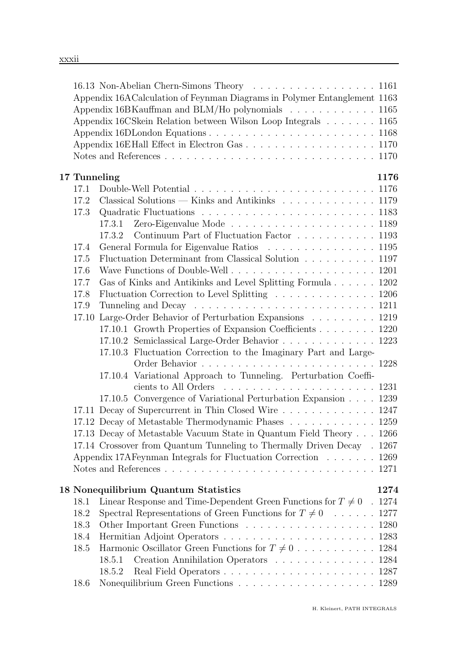|              | Appendix 16ACalculation of Feynman Diagrams in Polymer Entanglement 1163<br>Appendix 16BK auffman and BLM/Ho polynomials 1165<br>Appendix 16CSkein Relation between Wilson Loop Integrals 1165 |       |
|--------------|------------------------------------------------------------------------------------------------------------------------------------------------------------------------------------------------|-------|
| 17 Tunneling |                                                                                                                                                                                                | 1176  |
| 17.1         |                                                                                                                                                                                                |       |
| 17.2         | Classical Solutions — Kinks and Antikinks 1179                                                                                                                                                 |       |
| 17.3         |                                                                                                                                                                                                |       |
|              | 17.3.1                                                                                                                                                                                         |       |
|              | Continuum Part of Fluctuation Factor 1193<br>17.3.2                                                                                                                                            |       |
| 17.4         | General Formula for Eigenvalue Ratios $\ldots \ldots \ldots \ldots \ldots 1195$                                                                                                                |       |
| 17.5         | Fluctuation Determinant from Classical Solution 1197                                                                                                                                           |       |
| 17.6         | Wave Functions of Double-Well $\ldots \ldots \ldots \ldots \ldots \ldots \ldots 1201$                                                                                                          |       |
| 17.7         | Gas of Kinks and Antikinks and Level Splitting Formula 1202                                                                                                                                    |       |
| 17.8         | Fluctuation Correction to Level Splitting 1206                                                                                                                                                 |       |
| 17.9         |                                                                                                                                                                                                |       |
| 17.10        | Large-Order Behavior of Perturbation Expansions 1219                                                                                                                                           |       |
|              | 17.10.1 Growth Properties of Expansion Coefficients 1220                                                                                                                                       |       |
|              | 17.10.2 Semiclassical Large-Order Behavior 1223                                                                                                                                                |       |
|              | 17.10.3 Fluctuation Correction to the Imaginary Part and Large-                                                                                                                                |       |
|              |                                                                                                                                                                                                |       |
|              | 17.10.4 Variational Approach to Tunneling. Perturbation Coeffi-                                                                                                                                |       |
|              | cients to All Orders $\dots \dots \dots \dots \dots \dots \dots \dots \dots \dots 1231$                                                                                                        |       |
|              | 17.10.5 Convergence of Variational Perturbation Expansion 1239                                                                                                                                 |       |
|              | 17.11 Decay of Supercurrent in Thin Closed Wire 1247                                                                                                                                           |       |
|              | 17.12 Decay of Metastable Thermodynamic Phases 1259                                                                                                                                            |       |
|              | 17.13 Decay of Metastable Vacuum State in Quantum Field Theory 1266                                                                                                                            |       |
|              | 17.14 Crossover from Quantum Tunneling to Thermally Driven Decay . 1267                                                                                                                        |       |
|              | Appendix 17AF eynman Integrals for Fluctuation Correction 1269                                                                                                                                 |       |
|              |                                                                                                                                                                                                |       |
|              | 18 Nonequilibrium Quantum Statistics                                                                                                                                                           | 1274  |
| 18.1         | Linear Response and Time-Dependent Green Functions for $T \neq 0$                                                                                                                              | .1274 |
| 18.2         | Spectral Representations of Green Functions for $T \neq 0$                                                                                                                                     | 1277  |
| 18.3         |                                                                                                                                                                                                | 1280  |
| 18.4         |                                                                                                                                                                                                | 1283  |
| 18.5         | Harmonic Oscillator Green Functions for $T \neq 0$                                                                                                                                             | 1284  |
|              | Creation Annihilation Operators<br>18.5.1                                                                                                                                                      | 1284  |
|              | 18.5.2                                                                                                                                                                                         |       |
| 18.6         |                                                                                                                                                                                                |       |
|              |                                                                                                                                                                                                |       |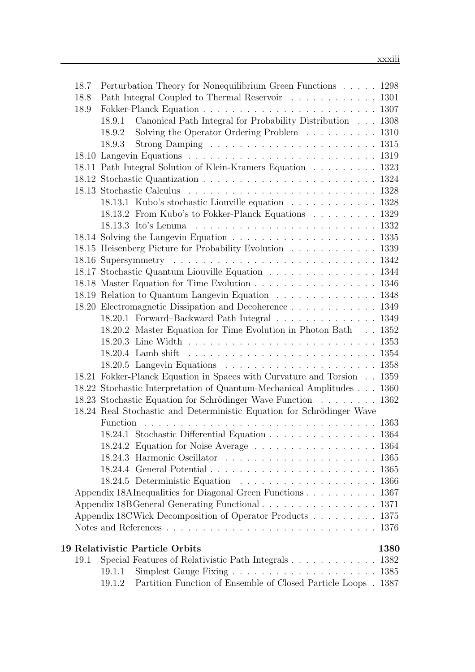| 18.7 | Perturbation Theory for Nonequilibrium Green Functions 1298              |      |
|------|--------------------------------------------------------------------------|------|
| 18.8 | Path Integral Coupled to Thermal Reservoir 1301                          |      |
| 18.9 |                                                                          |      |
|      | Canonical Path Integral for Probability Distribution 1308<br>18.9.1      |      |
|      | Solving the Operator Ordering Problem 1310<br>18.9.2                     |      |
|      | 18.9.3                                                                   |      |
|      |                                                                          |      |
|      | 18.11 Path Integral Solution of Klein-Kramers Equation 1323              |      |
|      |                                                                          |      |
|      |                                                                          |      |
|      | 18.13.1 Kubo's stochastic Liouville equation 1328                        |      |
|      | 18.13.2 From Kubo's to Fokker-Planck Equations 1329                      |      |
|      |                                                                          |      |
|      |                                                                          |      |
|      | 18.15 Heisenberg Picture for Probability Evolution 1339                  |      |
|      |                                                                          |      |
|      | 18.17 Stochastic Quantum Liouville Equation 1344                         |      |
|      | 18.18 Master Equation for Time Evolution 1346                            |      |
|      | 18.19 Relation to Quantum Langevin Equation 1348                         |      |
|      |                                                                          |      |
|      | 18.20.1 Forward-Backward Path Integral 1349                              |      |
|      | 18.20.2 Master Equation for Time Evolution in Photon Bath 1352           |      |
|      |                                                                          |      |
|      |                                                                          |      |
|      |                                                                          |      |
|      | 18.21 Fokker-Planck Equation in Spaces with Curvature and Torsion 1359   |      |
|      | 18.22 Stochastic Interpretation of Quantum-Mechanical Amplitudes 1360    |      |
|      | 18.23 Stochastic Equation for Schrödinger Wave Function 1362             |      |
|      | 18.24 Real Stochastic and Deterministic Equation for Schrödinger Wave    |      |
|      | <b>Function</b>                                                          |      |
|      | 18.24.1 Stochastic Differential Equation 1364                            |      |
|      | 18.24.2 Equation for Noise Average                                       | 1364 |
|      |                                                                          | 1365 |
|      |                                                                          | 1365 |
|      |                                                                          |      |
|      | Appendix 18AInequalities for Diagonal Green Functions                    | 1367 |
|      | Appendix 18BGeneral Generating Functional                                | 1371 |
|      | Appendix 18CWick Decomposition of Operator Products                      | 1375 |
|      |                                                                          | 1376 |
|      | 19 Relativistic Particle Orbits                                          | 1380 |
| 19.1 | Special Features of Relativistic Path Integrals                          | 1382 |
|      | 19.1.1                                                                   |      |
|      | Partition Function of Ensemble of Closed Particle Loops . 1387<br>19.1.2 |      |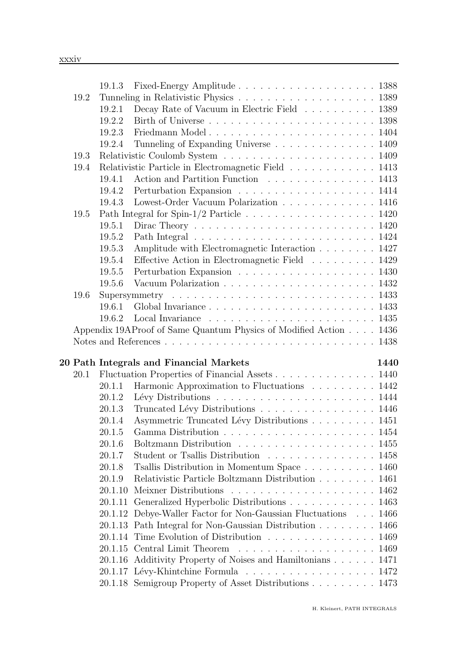|      | 19.1.3  |                                                                                                                      |      |
|------|---------|----------------------------------------------------------------------------------------------------------------------|------|
| 19.2 |         |                                                                                                                      |      |
|      | 19.2.1  | Decay Rate of Vacuum in Electric Field 1389                                                                          |      |
|      | 19.2.2  |                                                                                                                      |      |
|      | 19.2.3  |                                                                                                                      |      |
|      | 19.2.4  | Tunneling of Expanding Universe 1409                                                                                 |      |
| 19.3 |         |                                                                                                                      |      |
| 19.4 |         | Relativistic Particle in Electromagnetic Field 1413                                                                  |      |
|      | 19.4.1  | Action and Partition Function 1413                                                                                   |      |
|      | 19.4.2  |                                                                                                                      |      |
|      | 19.4.3  | Lowest-Order Vacuum Polarization 1416                                                                                |      |
| 19.5 |         |                                                                                                                      |      |
|      | 19.5.1  | Dirac Theory $\dots \dots \dots \dots \dots \dots \dots \dots \dots \dots \dots 1420$                                |      |
|      | 19.5.2  |                                                                                                                      |      |
|      | 19.5.3  | Amplitude with Electromagnetic Interaction 1427                                                                      |      |
|      | 19.5.4  | Effective Action in Electromagnetic Field 1429                                                                       |      |
|      | 19.5.5  |                                                                                                                      |      |
|      | 19.5.6  |                                                                                                                      |      |
| 19.6 |         |                                                                                                                      |      |
|      | 19.6.1  |                                                                                                                      |      |
|      | 19.6.2  |                                                                                                                      |      |
|      |         | Appendix 19AProof of Same Quantum Physics of Modified Action 1436                                                    |      |
|      |         |                                                                                                                      |      |
|      |         |                                                                                                                      |      |
|      |         |                                                                                                                      | 1440 |
| 20.1 |         | 20 Path Integrals and Financial Markets                                                                              |      |
|      | 20.1.1  | Fluctuation Properties of Financial Assets 1440                                                                      |      |
|      | 20.1.2  | Harmonic Approximation to Fluctuations 1442                                                                          |      |
|      | 20.1.3  | Truncated Lévy Distributions 1446                                                                                    |      |
|      | 20.1.4  | Asymmetric Truncated Lévy Distributions 1451                                                                         |      |
|      | 20.1.5  |                                                                                                                      |      |
|      | 20.1.6  | Gamma Distribution $\dots \dots \dots \dots \dots \dots \dots \dots \dots \dots 1454$<br>Boltzmann Distribution 1455 |      |
|      | 20.1.7  | Student or Tsallis Distribution 1458                                                                                 |      |
|      | 20.1.8  | Tsallis Distribution in Momentum Space 1460                                                                          |      |
|      | 20.1.9  | Relativistic Particle Boltzmann Distribution 1461                                                                    |      |
|      | 20.1.10 |                                                                                                                      |      |
|      | 20.1.11 | Generalized Hyperbolic Distributions 1463                                                                            |      |
|      |         | 20.1.12 Debye-Waller Factor for Non-Gaussian Fluctuations 1466                                                       |      |
|      | 20.1.13 | Path Integral for Non-Gaussian Distribution 1466                                                                     |      |
|      | 20.1.14 | Time Evolution of Distribution 1469                                                                                  |      |
|      |         |                                                                                                                      |      |
|      | 20.1.16 | Additivity Property of Noises and Hamiltonians 1471                                                                  |      |
|      |         | 20.1.17 Lévy-Khintchine Formula 1472<br>20.1.18 Semigroup Property of Asset Distributions 1473                       |      |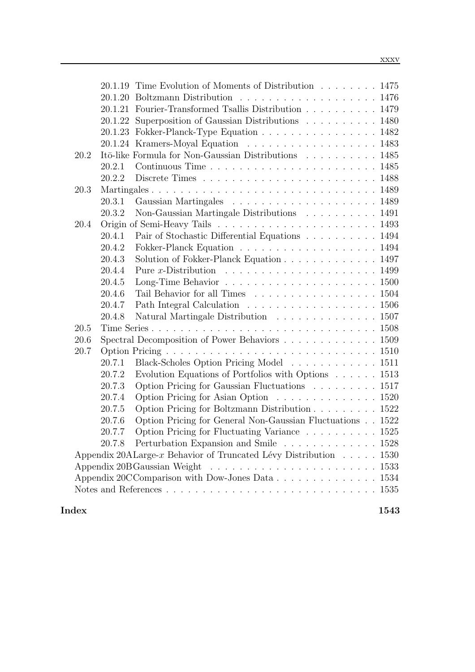|      |        | 20.1.19 Time Evolution of Moments of Distribution 1475                     |      |
|------|--------|----------------------------------------------------------------------------|------|
|      |        |                                                                            |      |
|      |        | 20.1.21 Fourier-Transformed Tsallis Distribution 1479                      |      |
|      |        | 20.1.22 Superposition of Gaussian Distributions 1480                       |      |
|      |        | 20.1.23 Fokker-Planck-Type Equation 1482                                   |      |
|      |        | 20.1.24 Kramers-Moyal Equation 1483                                        |      |
| 20.2 |        | Itō-like Formula for Non-Gaussian Distributions 1485                       |      |
|      | 20.2.1 |                                                                            |      |
|      | 20.2.2 |                                                                            |      |
| 20.3 |        |                                                                            |      |
|      | 20.3.1 |                                                                            |      |
|      | 20.3.2 | Non-Gaussian Martingale Distributions 1491                                 |      |
| 20.4 |        |                                                                            |      |
|      | 20.4.1 | Pair of Stochastic Differential Equations 1494                             |      |
|      | 20.4.2 | Fokker-Planck Equation 1494                                                |      |
|      | 20.4.3 | Solution of Fokker-Planck Equation 1497                                    |      |
|      | 20.4.4 |                                                                            |      |
|      | 20.4.5 | Long-Time Behavior $\ldots \ldots \ldots \ldots \ldots \ldots \ldots 1500$ |      |
|      | 20.4.6 | Tail Behavior for all Times 1504                                           |      |
|      | 20.4.7 |                                                                            |      |
|      | 20.4.8 | Natural Martingale Distribution 1507                                       |      |
| 20.5 |        |                                                                            |      |
| 20.6 |        | Spectral Decomposition of Power Behaviors 1509                             |      |
| 20.7 |        |                                                                            |      |
|      | 20.7.1 | Black-Scholes Option Pricing Model 1511                                    |      |
|      | 20.7.2 | Evolution Equations of Portfolios with Options $\ldots \ldots$ 1513        |      |
|      | 20.7.3 | Option Pricing for Gaussian Fluctuations 1517                              |      |
|      | 20.7.4 | Option Pricing for Asian Option 1520                                       |      |
|      | 20.7.5 | Option Pricing for Boltzmann Distribution 1522                             |      |
|      | 20.7.6 | Option Pricing for General Non-Gaussian Fluctuations 1522                  |      |
|      | 20.7.7 | Option Pricing for Fluctuating Variance 1525                               |      |
|      | 20.7.8 | Perturbation Expansion and Smile 1528                                      |      |
|      |        | Appendix 20ALarge-x Behavior of Truncated Lévy Distribution $\ldots$ 1530  |      |
|      |        |                                                                            |      |
|      |        | Appendix 20CComparison with Dow-Jones Data                                 | 1534 |
|      |        |                                                                            |      |
|      |        |                                                                            |      |

Index 1543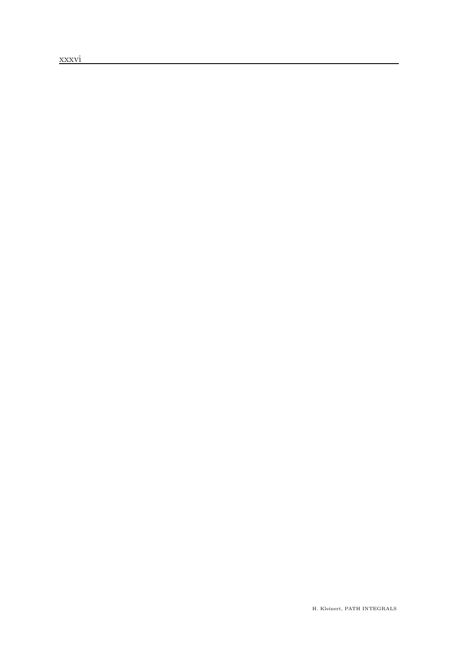xxxvi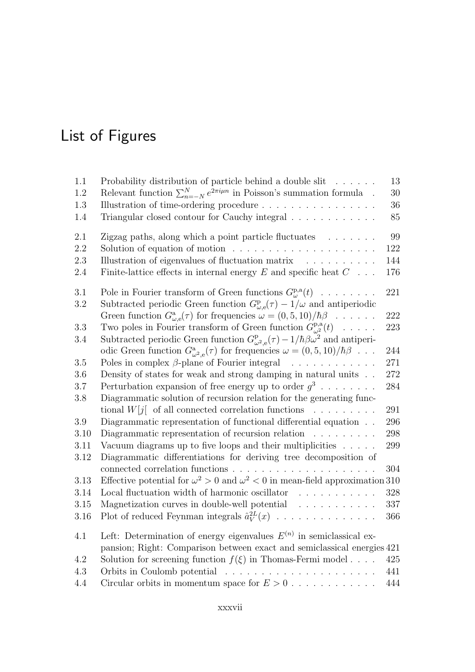# List of Figures

| 1.1<br>1.2<br>1.3<br>1.4 | Probability distribution of particle behind a double slit<br>Relevant function $\sum_{n=-N}^{N} e^{2\pi i \mu n}$ in Poisson's summation formula.<br>Illustration of time-ordering procedure<br>Triangular closed contour for Cauchy integral | 13<br>30<br>36<br>85 |
|--------------------------|-----------------------------------------------------------------------------------------------------------------------------------------------------------------------------------------------------------------------------------------------|----------------------|
| 2.1                      | Zigzag paths, along which a point particle fluctuates $\dots \dots$                                                                                                                                                                           | 99                   |
| 2.2                      | Solution of equation of motion $\ldots \ldots \ldots \ldots \ldots \ldots$                                                                                                                                                                    | 122                  |
| 2.3                      | Illustration of eigenvalues of fluctuation matrix                                                                                                                                                                                             | 144                  |
| 2.4                      | Finite-lattice effects in internal energy $E$ and specific heat $C \dots$                                                                                                                                                                     | 176                  |
| 3.1<br>3.2               | Pole in Fourier transform of Green functions $G_{\omega}^{\text{p},\text{a}}(t) \dots$<br>Subtracted periodic Green function $G_{\omega,e}^{p}(\tau) - 1/\omega$ and antiperiodic                                                             | 221                  |
|                          | Green function $G_{\omega,e}^{\mathbf{a}}(\tau)$ for frequencies $\omega = (0,5,10)/\hbar\beta \dots \dots$                                                                                                                                   | 222                  |
| 3.3                      | Two poles in Fourier transform of Green function $G_{\omega^2}^{p,a}(t)$                                                                                                                                                                      | 223                  |
| 3.4                      | Subtracted periodic Green function $G_{\omega^2, e}^{\text{p}}(\tau) - 1/\hbar \beta \omega^2$ and antiperi-                                                                                                                                  |                      |
|                          | odic Green function $G^{\rm a}_{\omega^2, \rm e}(\tau)$ for frequencies $\omega = (0, 5, 10)/\hbar\beta \dots$                                                                                                                                | 244                  |
| 3.5                      | Poles in complex $\beta$ -plane of Fourier integral<br>$\mathcal{A}$ . The set of the set of the set of the $\mathcal{A}$                                                                                                                     | 271                  |
| 3.6                      | Density of states for weak and strong damping in natural units                                                                                                                                                                                | $272\,$              |
| 3.7                      | Perturbation expansion of free energy up to order $g^3$                                                                                                                                                                                       | 284                  |
| 3.8                      | Diagrammatic solution of recursion relation for the generating func-                                                                                                                                                                          |                      |
|                          | tional $W[j]$ of all connected correlation functions                                                                                                                                                                                          | 291                  |
| 3.9                      | Diagrammatic representation of functional differential equation                                                                                                                                                                               | 296                  |
| 3.10                     | Diagrammatic representation of recursion relation                                                                                                                                                                                             | 298                  |
| 3.11                     | Vacuum diagrams up to five loops and their multiplicities $\dots$ .                                                                                                                                                                           | 299                  |
| 3.12                     | Diagrammatic differentiations for deriving tree decomposition of                                                                                                                                                                              |                      |
|                          |                                                                                                                                                                                                                                               | 304                  |
| 3.13                     | Effective potential for $\omega^2 > 0$ and $\omega^2 < 0$ in mean-field approximation 310                                                                                                                                                     |                      |
| 3.14                     | Local fluctuation width of harmonic oscillator<br><u>.</u>                                                                                                                                                                                    | 328                  |
| 3.15                     | Magnetization curves in double-well potential $\quad \ldots \ldots \ldots \ldots$                                                                                                                                                             | 337                  |
| 3.16                     | Plot of reduced Feynman integrals $\hat{a}_V^{2L}(x)$                                                                                                                                                                                         | 366                  |
| 4.1                      | Left: Determination of energy eigenvalues $E^{(n)}$ in semiclassical ex-<br>pansion; Right: Comparison between exact and semiclassical energies 421                                                                                           |                      |
| 4.2                      | Solution for screening function $f(\xi)$ in Thomas-Fermi model                                                                                                                                                                                | 425                  |
| 4.3                      | Orbits in Coulomb potential                                                                                                                                                                                                                   | 441                  |
| 4.4                      | Circular orbits in momentum space for $E > 0$                                                                                                                                                                                                 | 444                  |
|                          |                                                                                                                                                                                                                                               |                      |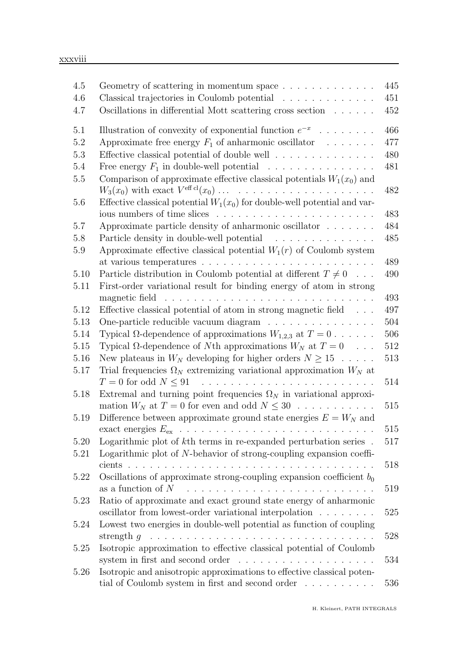| 4.5     | Geometry of scattering in momentum space                                                                                                                           | 445 |
|---------|--------------------------------------------------------------------------------------------------------------------------------------------------------------------|-----|
| 4.6     | Classical trajectories in Coulomb potential                                                                                                                        | 451 |
| 4.7     | Oscillations in differential Mott scattering cross section                                                                                                         | 452 |
| 5.1     | Illustration of convexity of exponential function $e^{-x}$                                                                                                         | 466 |
| $5.2\,$ | Approximate free energy $F_1$ of anharmonic oscillator $\ldots \ldots$                                                                                             | 477 |
| 5.3     | Effective classical potential of double well                                                                                                                       | 480 |
| 5.4     | Free energy $F_1$ in double-well potential                                                                                                                         | 481 |
| $5.5\,$ | Comparison of approximate effective classical potentials $W_1(x_0)$ and                                                                                            | 482 |
| 5.6     | Effective classical potential $W_1(x_0)$ for double-well potential and var-                                                                                        | 483 |
| 5.7     | Approximate particle density of anharmonic oscillator                                                                                                              | 484 |
| 5.8     | Particle density in double-well potential<br>$\mathcal{A}$ , and a set of the set of the set of the $\mathcal{A}$                                                  | 485 |
| 5.9     | Approximate effective classical potential $W_1(r)$ of Coulomb system                                                                                               |     |
|         |                                                                                                                                                                    | 489 |
| 5.10    | Particle distribution in Coulomb potential at different $T \neq 0$                                                                                                 | 490 |
| 5.11    | First-order variational result for binding energy of atom in strong<br>magnetic field                                                                              | 493 |
| 5.12    | Effective classical potential of atom in strong magnetic field                                                                                                     | 497 |
| 5.13    | One-particle reducible vacuum diagram                                                                                                                              | 504 |
| 5.14    | Typical $\Omega$ -dependence of approximations $W_{1,2,3}$ at $T = 0$                                                                                              | 506 |
| 5.15    | Typical $\Omega$ -dependence of Nth approximations $W_N$ at $T = 0$                                                                                                | 512 |
| 5.16    | New plateaus in $W_N$ developing for higher orders $N \geq 15$                                                                                                     | 513 |
| 5.17    | Trial frequencies $\Omega_N$ extremizing variational approximation $W_N$ at<br>$T=0$ for odd $N\leq 91$                                                            | 514 |
| 5.18    | Extremal and turning point frequencies $\Omega_N$ in variational approxi-<br>mation $W_N$ at $T = 0$ for even and odd $N \leq 30$                                  | 515 |
| 5.19    | Difference between approximate ground state energies $E = W_N$ and                                                                                                 |     |
|         |                                                                                                                                                                    | 515 |
| 5.20    | Logarithmic plot of kth terms in re-expanded perturbation series.                                                                                                  | 517 |
| 5.21    | Logarithmic plot of N-behavior of strong-coupling expansion coeffi-                                                                                                | 518 |
| 5.22    | Oscillations of approximate strong-coupling expansion coefficient $b_0$<br>as a function of $\cal N$                                                               | 519 |
| 5.23    | Ratio of approximate and exact ground state energy of anharmonic<br>oscillator from lowest-order variational interpolation<br>$\hfill\ldots$ $\ldots$ $\ldots$ .   | 525 |
| 5.24    | Lowest two energies in double-well potential as function of coupling                                                                                               |     |
|         | strength $q$                                                                                                                                                       | 528 |
| 5.25    | Isotropic approximation to effective classical potential of Coulomb                                                                                                |     |
|         | system in first and second order                                                                                                                                   | 534 |
| 5.26    | Isotropic and anisotropic approximations to effective classical poten-<br>tial of Coulomb system in first and second order $\;\ldots\; \ldots\; \ldots\; \ldots\;$ | 536 |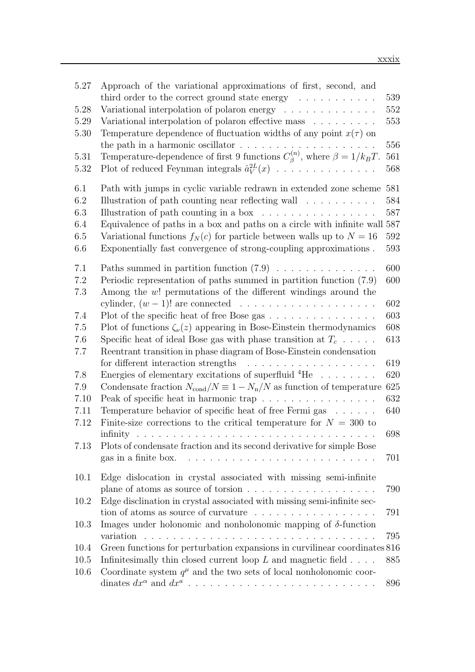| 5.27<br>5.28<br>5.29<br>5.30           | Approach of the variational approximations of first, second, and<br>third order to the correct ground state energy $\dots \dots \dots$<br>Variational interpolation of polaron energy $\dots \dots \dots \dots$<br>Variational interpolation of polaron effective mass<br>Temperature dependence of fluctuation widths of any point $x(\tau)$ on                                                                                                              | 539<br>552<br>553               |
|----------------------------------------|---------------------------------------------------------------------------------------------------------------------------------------------------------------------------------------------------------------------------------------------------------------------------------------------------------------------------------------------------------------------------------------------------------------------------------------------------------------|---------------------------------|
| 5.31<br>5.32                           | the path in a harmonic oscillator $\dots \dots \dots \dots \dots$<br>Temperature-dependence of first 9 functions $C_{\beta}^{(n)}$ , where $\beta = 1/k_B T$ .<br>Plot of reduced Feynman integrals $\hat{a}_V^{2L}(x)$                                                                                                                                                                                                                                       | 556<br>561<br>568               |
| 6.1<br>6.2<br>6.3<br>6.4<br>6.5<br>6.6 | Path with jumps in cyclic variable redrawn in extended zone scheme<br>Illustration of path counting near reflecting wall $\ldots \ldots \ldots$<br>Illustration of path counting in a box $\ldots \ldots \ldots \ldots \ldots$<br>Equivalence of paths in a box and paths on a circle with infinite wall 587<br>Variational functions $f_N(c)$ for particle between walls up to $N = 16$<br>Exponentially fast convergence of strong-coupling approximations. | 581<br>584<br>587<br>592<br>593 |
| 7.1<br>7.2<br>7.3                      | Paths summed in partition function $(7.9) \ldots \ldots \ldots \ldots$<br>Periodic representation of paths summed in partition function (7.9)<br>Among the $w!$ permutations of the different windings around the                                                                                                                                                                                                                                             | 600<br>600                      |
| 7.4<br>7.5<br>7.6<br>7.7               | cylinder, $(w-1)!$ are connected<br>Plot of the specific heat of free Bose gas $\dots \dots \dots \dots \dots$<br>Plot of functions $\zeta_{\nu}(z)$ appearing in Bose-Einstein thermodynamics<br>Specific heat of ideal Bose gas with phase transition at $T_c$<br>Reentrant transition in phase diagram of Bose-Einstein condensation                                                                                                                       | 602<br>603<br>608<br>613        |
| 7.8                                    | .<br>for different interaction strengths<br>Energies of elementary excitations of superfluid ${}^{4}$ He                                                                                                                                                                                                                                                                                                                                                      | 619<br>620                      |
| 7.9<br>7.10                            | Condensate fraction $N_{\text{cond}}/N \equiv 1 - N_{\text{n}}/N$ as function of temperature<br>Peak of specific heat in harmonic trap                                                                                                                                                                                                                                                                                                                        | 625<br>632                      |
| 7.11<br>7.12                           | Temperature behavior of specific heat of free Fermi gas<br>Finite-size corrections to the critical temperature for $N = 300$ to                                                                                                                                                                                                                                                                                                                               | 640                             |
| 7.13                                   | Plots of condensate fraction and its second derivative for simple Bose                                                                                                                                                                                                                                                                                                                                                                                        | 698                             |
|                                        | gas in a finite box.                                                                                                                                                                                                                                                                                                                                                                                                                                          | 701                             |
| 10.1                                   | Edge dislocation in crystal associated with missing semi-infinite<br>plane of atoms as source of torsion $\dots \dots \dots \dots \dots \dots$                                                                                                                                                                                                                                                                                                                | 790                             |
| 10.2                                   | Edge disclination in crystal associated with missing semi-infinite sec-<br>tion of atoms as source of curvature $\ldots \ldots \ldots \ldots \ldots$                                                                                                                                                                                                                                                                                                          | 791                             |
| 10.3                                   | Images under holonomic and nonholonomic mapping of $\delta$ -function<br>variation                                                                                                                                                                                                                                                                                                                                                                            | 795                             |
| 10.4<br>10.5<br>10.6                   | Green functions for perturbation expansions in curvilinear coordinates 816<br>Infinitesimally thin closed current loop $L$ and magnetic field $\ldots$ .<br>Coordinate system $q^{\mu}$ and the two sets of local nonholonomic coor-                                                                                                                                                                                                                          | 885                             |
|                                        |                                                                                                                                                                                                                                                                                                                                                                                                                                                               | 896                             |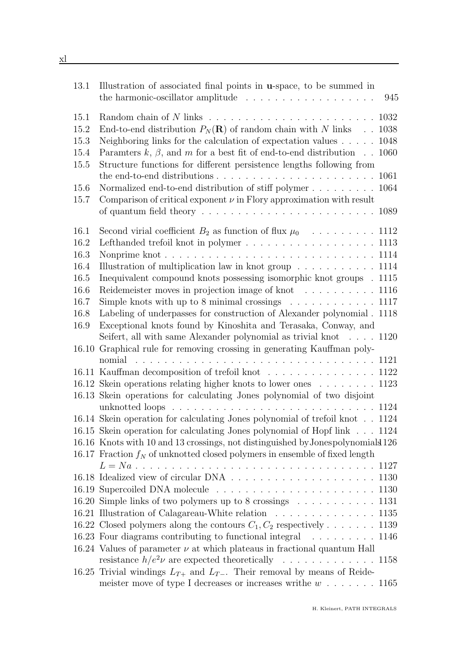| 13.1 | Illustration of associated final points in <b>u</b> -space, to be summed in<br>the harmonic-oscillator amplitude                                        | 945  |
|------|---------------------------------------------------------------------------------------------------------------------------------------------------------|------|
| 15.1 |                                                                                                                                                         |      |
| 15.2 | End-to-end distribution $P_N(\mathbf{R})$ of random chain with N links                                                                                  | 1038 |
| 15.3 | Neighboring links for the calculation of expectation values $\ldots$ . 1048                                                                             |      |
| 15.4 | Paramters k, $\beta$ , and m for a best fit of end-to-end distribution 1060                                                                             |      |
| 15.5 | Structure functions for different persistence lengths following from                                                                                    |      |
|      |                                                                                                                                                         |      |
| 15.6 | Normalized end-to-end distribution of stiff polymer                                                                                                     | 1064 |
| 15.7 | Comparison of critical exponent $\nu$ in Flory approximation with result                                                                                |      |
|      |                                                                                                                                                         | 1089 |
| 16.1 | Second virial coefficient $B_2$ as function of flux $\mu_0$ 1112                                                                                        |      |
| 16.2 | Lefthanded trefoil knot in polymer 1113                                                                                                                 |      |
| 16.3 |                                                                                                                                                         | 1114 |
| 16.4 | Illustration of multiplication law in knot group $\ldots \ldots \ldots$                                                                                 | 1114 |
| 16.5 | Inequivalent compound knots possessing isomorphic knot groups . 1115                                                                                    |      |
| 16.6 | Reidemeister moves in projection image of knot                                                                                                          | 1116 |
| 16.7 | Simple knots with up to 8 minimal crossings $\dots \dots \dots$                                                                                         | 1117 |
| 16.8 | Labeling of underpasses for construction of Alexander polynomial . 1118                                                                                 |      |
| 16.9 | Exceptional knots found by Kinoshita and Terasaka, Conway, and                                                                                          |      |
|      | Seifert, all with same Alexander polynomial as trivial knot $\ldots$ . 1120                                                                             |      |
|      | 16.10 Graphical rule for removing crossing in generating Kauffman poly-                                                                                 |      |
|      | nomial                                                                                                                                                  |      |
|      | 16.11 Kauffman decomposition of trefoil knot 1122                                                                                                       |      |
|      | 16.12 Skein operations relating higher knots to lower ones 1123                                                                                         |      |
|      | 16.13 Skein operations for calculating Jones polynomial of two disjoint                                                                                 |      |
|      | unknotted loops $\ldots \ldots \ldots \ldots \ldots \ldots \ldots \ldots \ldots \ldots 1124$                                                            |      |
|      | 16.14 Skein operation for calculating Jones polynomial of trefoil knot 1124<br>16.15 Skein operation for calculating Jones polynomial of Hopf link 1124 |      |
|      | 16.16 Knots with 10 and 13 crossings, not distinguished by Jonespolynomials 126                                                                         |      |
|      | 16.17 Fraction $f_N$ of unknotted closed polymers in ensemble of fixed length                                                                           |      |
|      |                                                                                                                                                         |      |
|      |                                                                                                                                                         |      |
|      |                                                                                                                                                         |      |
|      | 16.20 Simple links of two polymers up to 8 crossings                                                                                                    | 1131 |
|      | 16.21 Illustration of Calagareau-White relation                                                                                                         | 1135 |
|      | 16.22 Closed polymers along the contours $C_1, C_2$ respectively                                                                                        | 1139 |
|      | 16.23 Four diagrams contributing to functional integral 1146                                                                                            |      |
|      | 16.24 Values of parameter $\nu$ at which plateaus in fractional quantum Hall                                                                            |      |
|      | resistance $h/e^2\nu$ are expected theoretically                                                                                                        | 1158 |
|      | 16.25 Trivial windings $L_{T+}$ and $L_{T-}$ . Their removal by means of Reide-                                                                         |      |
|      | meister move of type I decreases or increases writhe $w$ 1165                                                                                           |      |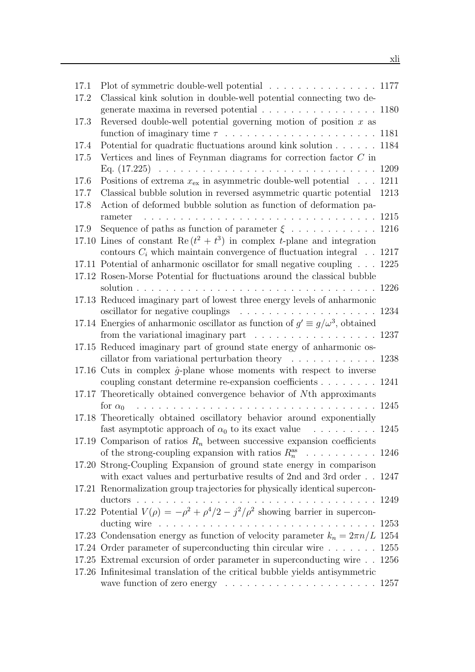| 17.1 | Plot of symmetric double-well potential $\ldots \ldots \ldots \ldots \ldots 1177$                     |      |
|------|-------------------------------------------------------------------------------------------------------|------|
| 17.2 | Classical kink solution in double-well potential connecting two de-                                   |      |
|      | generate maxima in reversed potential $\ldots \ldots \ldots \ldots \ldots \ldots 1180$                |      |
| 17.3 | Reversed double-well potential governing motion of position $x$ as                                    |      |
|      |                                                                                                       |      |
| 17.4 | Potential for quadratic fluctuations around kink solution 1184 $\,$                                   |      |
| 17.5 | Vertices and lines of Feynman diagrams for correction factor $C$ in                                   |      |
|      |                                                                                                       | 1209 |
| 17.6 | Positions of extrema $x_{\text{ex}}$ in asymmetric double-well potential 1211                         |      |
| 17.7 | Classical bubble solution in reversed asymmetric quartic potential                                    | 1213 |
| 17.8 | Action of deformed bubble solution as function of deformation pa-                                     |      |
|      | rameter<br>$\sim$ $\sim$                                                                              | 1215 |
| 17.9 |                                                                                                       |      |
|      | 17.10 Lines of constant Re( $t^2 + t^3$ ) in complex t-plane and integration                          |      |
|      | contours $C_i$ which maintain convergence of fluctuation integral $\ldots$ 1217                       |      |
|      | 17.11 Potential of anharmonic oscillator for small negative coupling 1225                             |      |
|      | 17.12 Rosen-Morse Potential for fluctuations around the classical bubble                              |      |
|      | solution<br>$\ldots$ 1226<br>.                                                                        |      |
|      | 17.13 Reduced imaginary part of lowest three energy levels of anharmonic                              |      |
|      | oscillator for negative couplings $\ldots \ldots \ldots \ldots \ldots \ldots \ldots 1234$             |      |
|      | 17.14 Energies of anharmonic oscillator as function of $g' \equiv g/\omega^3$ , obtained              |      |
|      | from the variational imaginary part $\dots \dots \dots \dots \dots \dots \dots \dots 1237$            |      |
|      | 17.15 Reduced imaginary part of ground state energy of anharmonic os-                                 |      |
|      | cillator from variational perturbation theory $\ldots \ldots \ldots \ldots 1238$                      |      |
|      | 17.16 Cuts in complex $\hat{g}$ -plane whose moments with respect to inverse                          |      |
|      | coupling constant determine re-expansion coefficients 1241 $\,$                                       |      |
|      | 17.17 Theoretically obtained convergence behavior of Nth approximants                                 |      |
|      | for $\alpha_0$                                                                                        |      |
|      | 17.18 Theoretically obtained oscillatory behavior around exponentially                                |      |
|      | fast asymptotic approach of $\alpha_0$ to its exact value<br>. 1245                                   |      |
|      | 17.19 Comparison of ratios $R_n$ between successive expansion coefficients                            |      |
|      | of the strong-coupling expansion with ratios $R_n^{\text{as}}$ 1246                                   |      |
|      | 17.20 Strong-Coupling Expansion of ground state energy in comparison                                  |      |
|      | with exact values and perturbative results of 2nd and 3rd order 1247                                  |      |
|      | 17.21 Renormalization group trajectories for physically identical supercon-                           |      |
|      |                                                                                                       |      |
|      | 17.22 Potential $V(\rho) = -\rho^2 + \rho^4/2 - j^2/\rho^2$ showing barrier in supercon-              |      |
|      | ducting wire $\ldots \ldots \ldots \ldots \ldots \ldots \ldots \ldots \ldots \ldots$                  | 1253 |
|      | 17.23 Condensation energy as function of velocity parameter $k_n = 2\pi n/L$ 1254                     |      |
|      | 17.24 Order parameter of superconducting thin circular wire 1255                                      |      |
|      | 17.25 Extremal excursion of order parameter in superconducting wire 1256                              |      |
|      | 17.26 Infinitesimal translation of the critical bubble yields antisymmetric                           |      |
|      | wave function of zero energy $\dots \dots \dots \dots \dots \dots \dots \dots \dots \dots \dots 1257$ |      |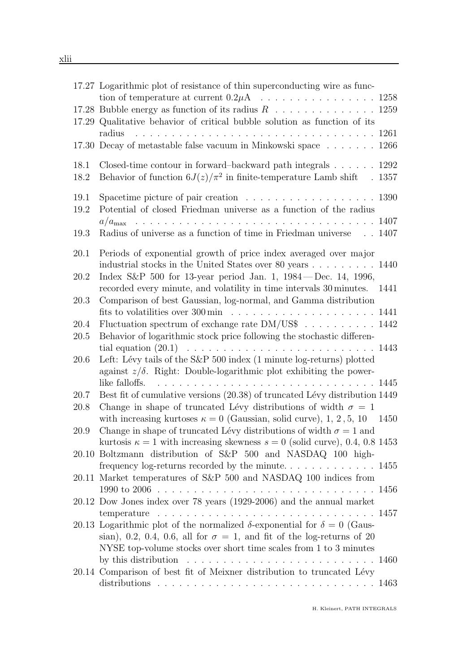|              | 17.27 Logarithmic plot of resistance of thin superconducting wire as func-                                                                                                                                                                                           |              |
|--------------|----------------------------------------------------------------------------------------------------------------------------------------------------------------------------------------------------------------------------------------------------------------------|--------------|
|              | 17.28 Bubble energy as function of its radius $R \dots \dots \dots \dots \dots \dots \dots \dots$<br>17.29 Qualitative behavior of critical bubble solution as function of its                                                                                       |              |
|              | radius<br>17.30 Decay of metastable false vacuum in Minkowski space                                                                                                                                                                                                  | 1261<br>1266 |
| 18.1<br>18.2 | Closed-time contour in forward-backward path integrals $\ldots \ldots$<br>Behavior of function $6J(z)/\pi^2$ in finite-temperature Lamb shift . 1357                                                                                                                 | 1292         |
| 19.1<br>19.2 | Spacetime picture of pair creation $\ldots \ldots \ldots \ldots \ldots \ldots 1390$<br>Potential of closed Friedman universe as a function of the radius                                                                                                             |              |
| 19.3         | Radius of universe as a function of time in Friedman universe 1407                                                                                                                                                                                                   |              |
| 20.1         | Periods of exponential growth of price index averaged over major<br>industrial stocks in the United States over 80 years 1440                                                                                                                                        |              |
| 20.2         | Index S&P 500 for 13-year period Jan. 1, $1984 - Dec.$ 14, 1996,<br>recorded every minute, and volatility in time intervals 30 minutes. 1441                                                                                                                         |              |
| 20.3         | Comparison of best Gaussian, log-normal, and Gamma distribution<br>fits to volatilities over 300 min                                                                                                                                                                 |              |
| 20.4<br>20.5 | Fluctuation spectrum of exchange rate $DM/US^*$ 1442<br>Behavior of logarithmic stock price following the stochastic differen-                                                                                                                                       |              |
| 20.6         | Left: Lévy tails of the S&P 500 index (1 minute log-returns) plotted<br>against $z/\delta$ . Right: Double-logarithmic plot exhibiting the power-<br>like falloffs.                                                                                                  |              |
| 20.7         | Best fit of cumulative versions (20.38) of truncated Lévy distribution 1449                                                                                                                                                                                          |              |
| 20.8         | Change in shape of truncated Lévy distributions of width $\sigma = 1$<br>with increasing kurtoses $\kappa = 0$ (Gaussian, solid curve), 1, 2, 5, 10                                                                                                                  | 1450         |
| 20.9         | Change in shape of truncated Lévy distributions of width $\sigma = 1$ and<br>kurtosis $\kappa = 1$ with increasing skewness $s = 0$ (solid curve), 0.4, 0.8 1453                                                                                                     |              |
|              | 20.10 Boltzmann distribution of S&P 500 and NASDAQ 100 high-<br>frequency log-returns recorded by the minute. $\ldots \ldots \ldots \ldots 1455$                                                                                                                     |              |
|              | 20.11 Market temperatures of S&P 500 and NASDAQ 100 indices from                                                                                                                                                                                                     |              |
|              | $20.12$ Dow Jones index over 78 years (1929-2006) and the annual market<br>temperature $\ldots \ldots \ldots \ldots \ldots \ldots \ldots \ldots \ldots \ldots \ldots$                                                                                                |              |
|              | 20.13 Logarithmic plot of the normalized $\delta$ -exponential for $\delta = 0$ (Gaus-<br>sian), 0.2, 0.4, 0.6, all for $\sigma = 1$ , and fit of the log-returns of 20<br>NYSE top-volume stocks over short time scales from 1 to 3 minutes<br>by this distribution |              |
|              | 20.14 Comparison of best fit of Meixner distribution to truncated Lévy                                                                                                                                                                                               |              |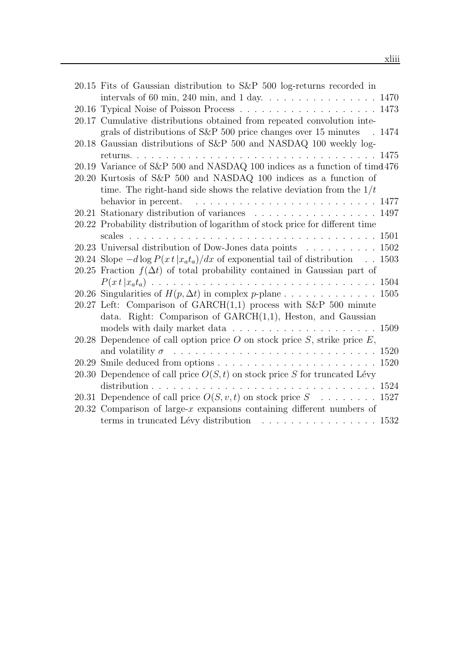| 20.15 Fits of Gaussian distribution to $S\&P$ 500 log-returns recorded in                   |        |
|---------------------------------------------------------------------------------------------|--------|
|                                                                                             |        |
|                                                                                             |        |
| 20.17 Cumulative distributions obtained from repeated convolution inte-                     |        |
| grals of distributions of S&P 500 price changes over 15 minutes                             | . 1474 |
| 20.18 Gaussian distributions of S&P 500 and NASDAQ 100 weekly log-                          |        |
|                                                                                             |        |
| 20.19 Variance of S&P 500 and NASDAQ 100 indices as a function of time 476                  |        |
| 20.20 Kurtosis of S&P 500 and NASDAQ 100 indices as a function of                           |        |
| time. The right-hand side shows the relative deviation from the $1/t$                       |        |
| behavior in percent. $\ldots \ldots \ldots \ldots \ldots \ldots \ldots \ldots \ldots 1477$  |        |
| 20.21 Stationary distribution of variances 1497                                             |        |
| 20.22 Probability distribution of logarithm of stock price for different time               |        |
|                                                                                             |        |
| 20.23 Universal distribution of Dow-Jones data points 1502                                  |        |
| 20.24 Slope $-d \log P(x t   x_a t_a)/dx$ of exponential tail of distribution . 1503        |        |
| 20.25 Fraction $f(\Delta t)$ of total probability contained in Gaussian part of             |        |
|                                                                                             |        |
|                                                                                             |        |
| 20.27 Left: Comparison of $GARCH(1,1)$ process with S&P 500 minute                          |        |
| data. Right: Comparison of $GARCH(1,1)$ , Heston, and Gaussian                              |        |
|                                                                                             |        |
| 20.28 Dependence of call option price $O$ on stock price $S$ , strike price $E$ ,           |        |
|                                                                                             |        |
|                                                                                             |        |
| 20.30 Dependence of call price $O(S, t)$ on stock price S for truncated Lévy                |        |
|                                                                                             |        |
| 20.31 Dependence of call price $O(S, v, t)$ on stock price $S \dots \dots \dots \dots 1527$ |        |
| 20.32 Comparison of large- $x$ expansions containing different numbers of                   |        |
| terms in truncated Lévy distribution $\ldots \ldots \ldots \ldots \ldots 1532$              |        |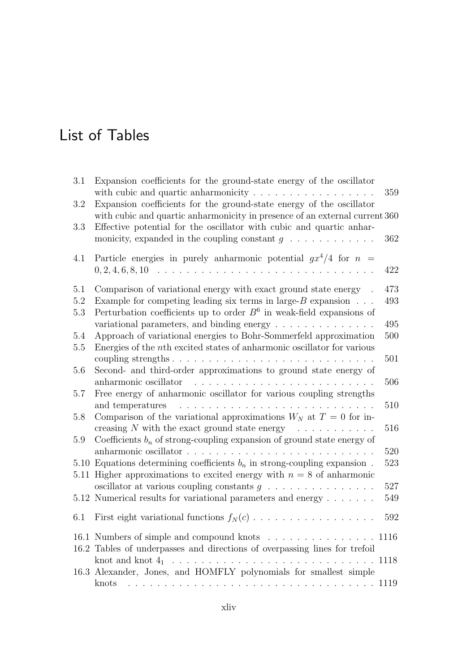## List of Tables

| 3.1        | Expansion coefficients for the ground-state energy of the oscillator<br>with cubic and quartic anharmonicity $\dots \dots \dots \dots \dots \dots$                                  | 359        |
|------------|-------------------------------------------------------------------------------------------------------------------------------------------------------------------------------------|------------|
| 3.2        | Expansion coefficients for the ground-state energy of the oscillator<br>with cubic and quartic anharmonicity in presence of an external current 360                                 |            |
| 3.3        | Effective potential for the oscillator with cubic and quartic anhar-<br>monicity, expanded in the coupling constant $g \dots \dots \dots \dots$                                     | 362        |
| 4.1        | Particle energies in purely anharmonic potential $gx^4/4$ for $n =$<br>0, 2, 4, 6, 8, 10<br>والمتحاولة والمتحاولة والمتحاولة والمتحاولة والمتحاولة والمتحاولة والمتحاولة والمتحاولة | 422        |
| 5.1<br>5.2 | Comparison of variational energy with exact ground state energy<br>Example for competing leading six terms in large- $B$ expansion $\ldots$                                         | 473<br>493 |
| 5.3        | Perturbation coefficients up to order $B^6$ in weak-field expansions of<br>variational parameters, and binding energy $\dots \dots \dots \dots \dots$                               | 495        |
| 5.4<br>5.5 | Approach of variational energies to Bohr-Sommerfeld approximation<br>Energies of the nth excited states of anharmonic oscillator for various                                        | 500        |
| 5.6        | Second- and third-order approximations to ground state energy of                                                                                                                    | 501        |
|            | anharmonic oscillator<br>$\ldots$ .                                                                                                                                                 | 506        |
| 5.7        | Free energy of anharmonic oscillator for various coupling strengths<br>and temperatures                                                                                             | 510        |
| 5.8        | Comparison of the variational approximations $W_N$ at $T=0$ for in-<br>creasing $N$ with the exact ground state energy<br><u>.</u>                                                  | 516        |
| 5.9        | Coefficients $b_n$ of strong-coupling expansion of ground state energy of                                                                                                           | 520        |
|            | 5.10 Equations determining coefficients $b_n$ in strong-coupling expansion.<br>5.11 Higher approximations to excited energy with $n = 8$ of anharmonic                              | 523        |
|            | oscillator at various coupling constants $g \ldots \ldots \ldots \ldots$                                                                                                            | 527        |
|            | 5.12 Numerical results for variational parameters and energy                                                                                                                        | 549        |
| 6.1        | First eight variational functions $f_N(c)$                                                                                                                                          | 592        |
|            | 16.1 Numbers of simple and compound knots 1116<br>16.2 Tables of underpasses and directions of overpassing lines for trefoil                                                        |            |
|            | 16.3 Alexander, Jones, and HOMFLY polynomials for smallest simple                                                                                                                   |            |
|            | knots                                                                                                                                                                               |            |